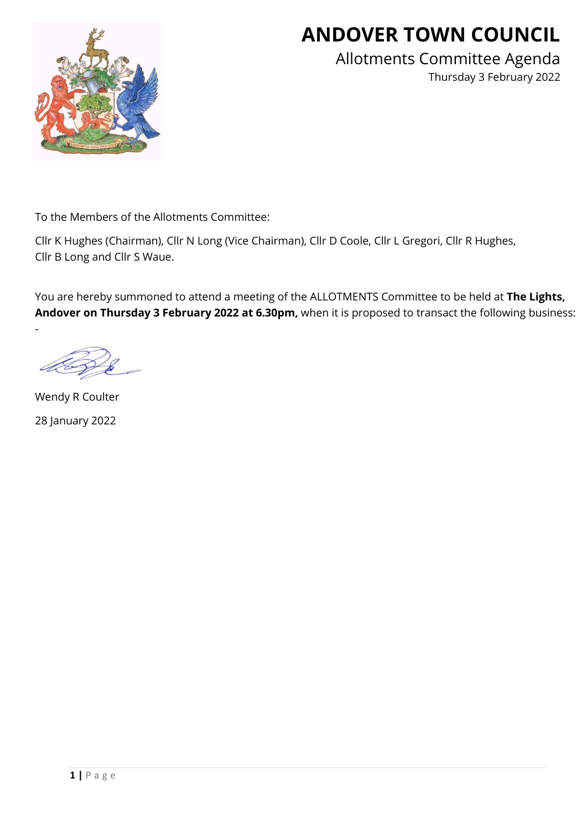

# **ANDOVER TOWN COUNCIL**

Allotments Committee Agenda Thursday 3 February 2022

To the Members of the Allotments Committee:

Cllr K Hughes (Chairman), Cllr N Long (Vice Chairman), Cllr D Coole, Cllr L Gregori, Cllr R Hughes, Cllr B Long and Cllr S Waue.

You are hereby summoned to attend a meeting of the ALLOTMENTS Committee to be held at **The Lights, Andover on Thursday 3 February 2022 at 6.30pm,** when it is proposed to transact the following business:

-

Wendy R Coulter 28 January 2022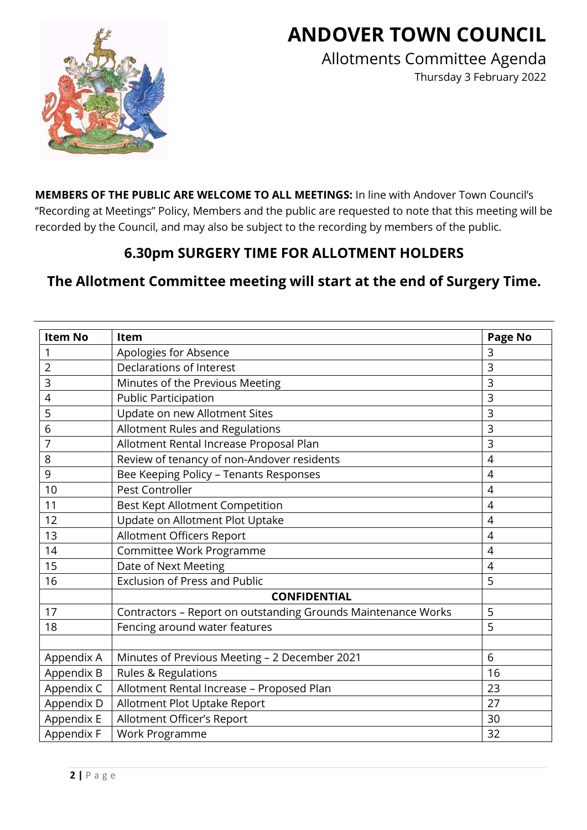# **ANDOVER TOWN COUNCIL**



Allotments Committee Agenda Thursday 3 February 2022

**MEMBERS OF THE PUBLIC ARE WELCOME TO ALL MEETINGS:** In line with Andover Town Council's "Recording at Meetings" Policy, Members and the public are requested to note that this meeting will be recorded by the Council, and may also be subject to the recording by members of the public.

# **6.30pm SURGERY TIME FOR ALLOTMENT HOLDERS**

# **The Allotment Committee meeting will start at the end of Surgery Time.**

| <b>Item No</b> | Item                                                          | <b>Page No</b> |  |
|----------------|---------------------------------------------------------------|----------------|--|
| 1              | Apologies for Absence                                         | 3              |  |
| $\overline{2}$ | Declarations of Interest                                      | 3              |  |
| 3              | Minutes of the Previous Meeting                               | 3              |  |
| 4              | <b>Public Participation</b>                                   | 3              |  |
| 5              | Update on new Allotment Sites                                 | $\overline{3}$ |  |
| 6              | Allotment Rules and Regulations                               | 3              |  |
| 7              | Allotment Rental Increase Proposal Plan                       | $\overline{3}$ |  |
| 8              | Review of tenancy of non-Andover residents                    | $\overline{4}$ |  |
| 9              | Bee Keeping Policy - Tenants Responses                        | $\overline{4}$ |  |
| 10             | Pest Controller                                               | $\overline{4}$ |  |
| 11             | Best Kept Allotment Competition                               | $\overline{4}$ |  |
| 12             | Update on Allotment Plot Uptake                               | $\overline{4}$ |  |
| 13             | Allotment Officers Report                                     | $\overline{4}$ |  |
| 14             | Committee Work Programme                                      | $\overline{4}$ |  |
| 15             | Date of Next Meeting                                          | $\overline{4}$ |  |
| 16             | <b>Exclusion of Press and Public</b>                          | 5              |  |
|                | <b>CONFIDENTIAL</b>                                           |                |  |
| 17             | Contractors - Report on outstanding Grounds Maintenance Works | 5              |  |
| 18             | Fencing around water features                                 | 5              |  |
|                |                                                               |                |  |
| Appendix A     | Minutes of Previous Meeting - 2 December 2021                 | 6              |  |
| Appendix B     | Rules & Regulations                                           | 16             |  |
| Appendix C     | Allotment Rental Increase - Proposed Plan                     | 23             |  |
| Appendix D     | Allotment Plot Uptake Report                                  | 27             |  |
| Appendix E     | Allotment Officer's Report                                    | 30             |  |
| Appendix F     | Work Programme                                                | 32             |  |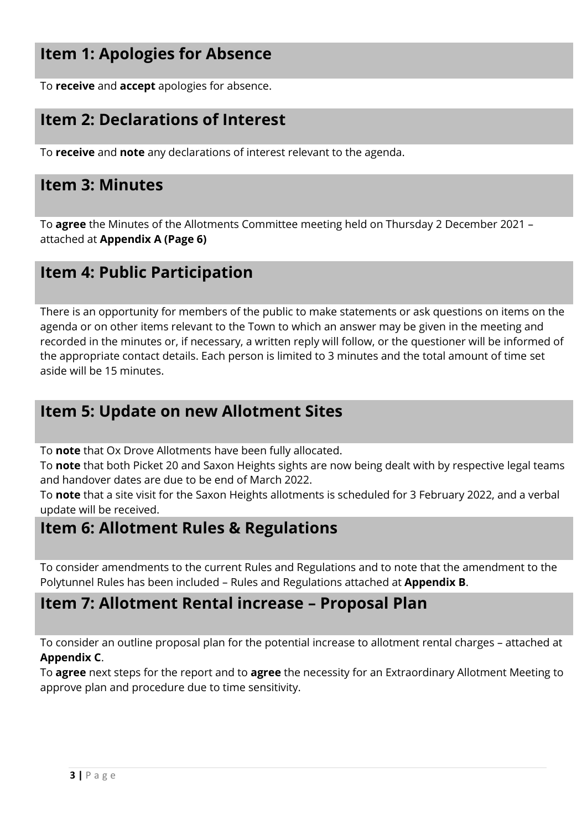# **Item 1: Apologies for Absence**

To **receive** and **accept** apologies for absence.

# **Item 2: Declarations of Interest**

To **receive** and **note** any declarations of interest relevant to the agenda.

### **Item 3: Minutes**

To **agree** the Minutes of the Allotments Committee meeting held on Thursday 2 December 2021 – attached at **Appendix A (Page 6)**

### **Item 4: Public Participation**

There is an opportunity for members of the public to make statements or ask questions on items on the agenda or on other items relevant to the Town to which an answer may be given in the meeting and recorded in the minutes or, if necessary, a written reply will follow, or the questioner will be informed of the appropriate contact details. Each person is limited to 3 minutes and the total amount of time set aside will be 15 minutes.

## **Item 5: Update on new Allotment Sites**

To **note** that Ox Drove Allotments have been fully allocated.

To **note** that both Picket 20 and Saxon Heights sights are now being dealt with by respective legal teams and handover dates are due to be end of March 2022.

To **note** that a site visit for the Saxon Heights allotments is scheduled for 3 February 2022, and a verbal update will be received.

# **Item 6: Allotment Rules & Regulations**

To consider amendments to the current Rules and Regulations and to note that the amendment to the Polytunnel Rules has been included – Rules and Regulations attached at **Appendix B**.

### **Item 7: Allotment Rental increase – Proposal Plan**

To consider an outline proposal plan for the potential increase to allotment rental charges – attached at **Appendix C**.

To **agree** next steps for the report and to **agree** the necessity for an Extraordinary Allotment Meeting to approve plan and procedure due to time sensitivity.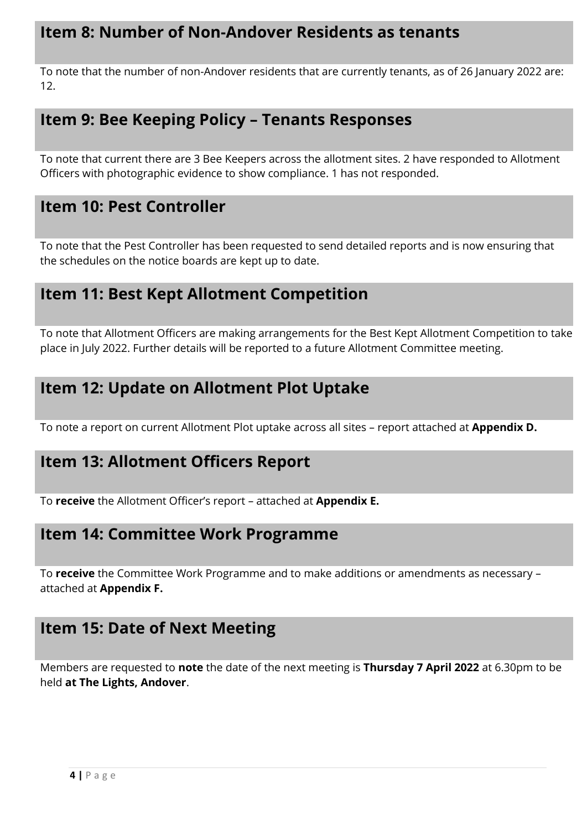# **Item 8: Number of Non-Andover Residents as tenants**

To note that the number of non-Andover residents that are currently tenants, as of 26 January 2022 are: 12.

# **Item 9: Bee Keeping Policy – Tenants Responses**

To note that current there are 3 Bee Keepers across the allotment sites. 2 have responded to Allotment Officers with photographic evidence to show compliance. 1 has not responded.

# **Item 10: Pest Controller**

To note that the Pest Controller has been requested to send detailed reports and is now ensuring that the schedules on the notice boards are kept up to date.

# **Item 11: Best Kept Allotment Competition**

To note that Allotment Officers are making arrangements for the Best Kept Allotment Competition to take place in July 2022. Further details will be reported to a future Allotment Committee meeting.

# **Item 12: Update on Allotment Plot Uptake**

To note a report on current Allotment Plot uptake across all sites – report attached at **Appendix D.** 

# **Item 13: Allotment Officers Report**

To **receive** the Allotment Officer's report – attached at **Appendix E.** 

# **Item 14: Committee Work Programme**

To **receive** the Committee Work Programme and to make additions or amendments as necessary – attached at **Appendix F.** 

# **Item 15: Date of Next Meeting**

Members are requested to **note** the date of the next meeting is **Thursday 7 April 2022** at 6.30pm to be held **at The Lights, Andover**.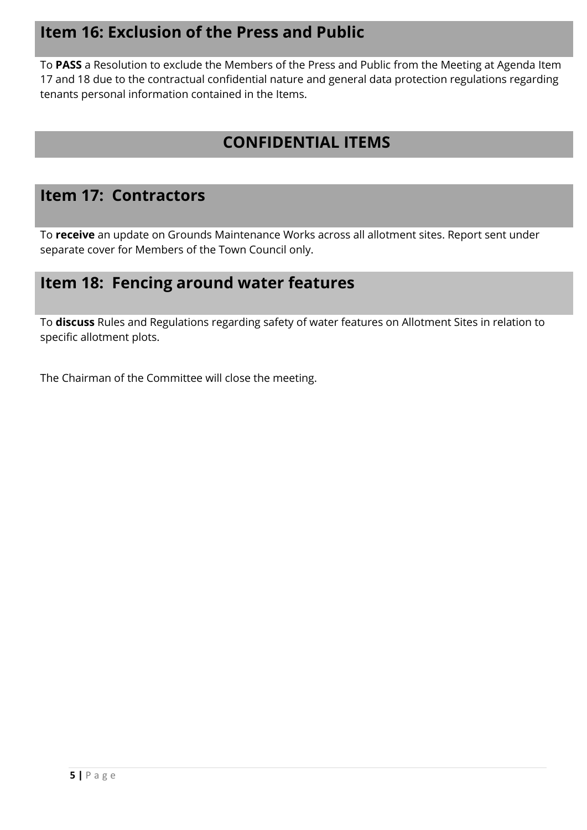# **Item 16: Exclusion of the Press and Public**

To **PASS** a Resolution to exclude the Members of the Press and Public from the Meeting at Agenda Item 17 and 18 due to the contractual confidential nature and general data protection regulations regarding tenants personal information contained in the Items.

# **CONFIDENTIAL ITEMS**

## **Item 17: Contractors**

To **receive** an update on Grounds Maintenance Works across all allotment sites. Report sent under separate cover for Members of the Town Council only.

# **Item 18: Fencing around water features**

To **discuss** Rules and Regulations regarding safety of water features on Allotment Sites in relation to specific allotment plots.

The Chairman of the Committee will close the meeting.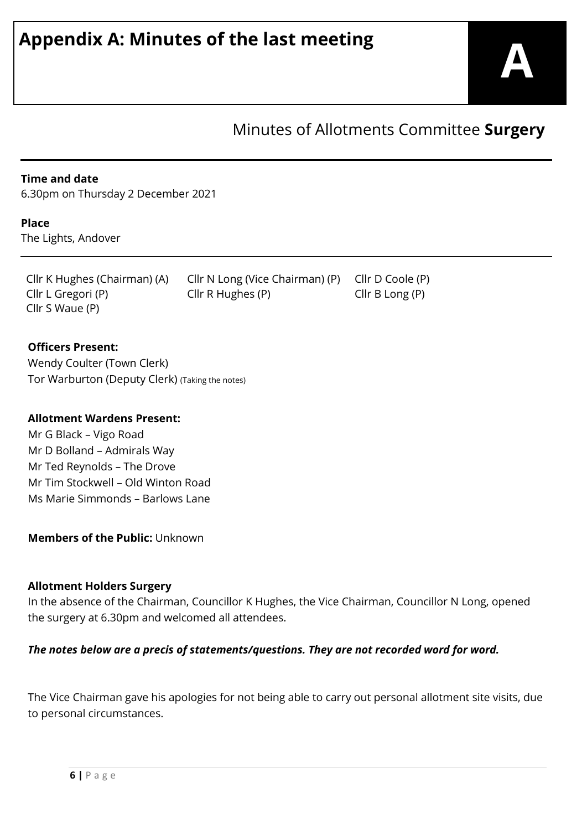# Minutes of Allotments Committee **Surgery**

#### **Time and date**

6.30pm on Thursday 2 December 2021

#### **Place**

The Lights, Andover

Cllr S Waue (P)

Cllr K Hughes (Chairman) (A) Cllr N Long (Vice Chairman) (P) Cllr D Coole (P) Cllr L Gregori (P) Cllr R Hughes (P) Cllr B Long (P)

#### **Officers Present:**

Wendy Coulter (Town Clerk) Tor Warburton (Deputy Clerk) (Taking the notes)

#### **Allotment Wardens Present:**

Mr G Black – Vigo Road Mr D Bolland – Admirals Way Mr Ted Reynolds – The Drove Mr Tim Stockwell – Old Winton Road Ms Marie Simmonds – Barlows Lane

#### **Members of the Public:** Unknown

#### **Allotment Holders Surgery**

In the absence of the Chairman, Councillor K Hughes, the Vice Chairman, Councillor N Long, opened the surgery at 6.30pm and welcomed all attendees.

#### *The notes below are a precis of statements/questions. They are not recorded word for word.*

The Vice Chairman gave his apologies for not being able to carry out personal allotment site visits, due to personal circumstances.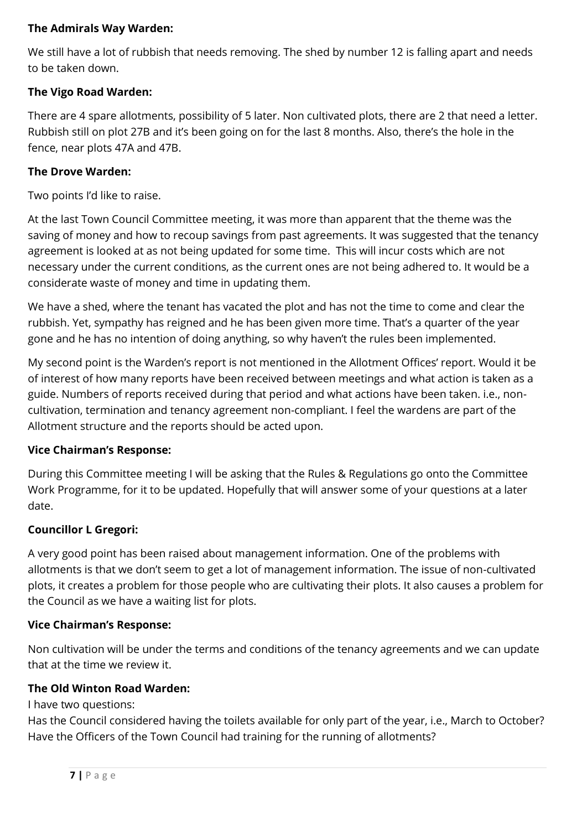#### **The Admirals Way Warden:**

We still have a lot of rubbish that needs removing. The shed by number 12 is falling apart and needs to be taken down.

#### **The Vigo Road Warden:**

There are 4 spare allotments, possibility of 5 later. Non cultivated plots, there are 2 that need a letter. Rubbish still on plot 27B and it's been going on for the last 8 months. Also, there's the hole in the fence, near plots 47A and 47B.

#### **The Drove Warden:**

Two points I'd like to raise.

At the last Town Council Committee meeting, it was more than apparent that the theme was the saving of money and how to recoup savings from past agreements. It was suggested that the tenancy agreement is looked at as not being updated for some time. This will incur costs which are not necessary under the current conditions, as the current ones are not being adhered to. It would be a considerate waste of money and time in updating them.

We have a shed, where the tenant has vacated the plot and has not the time to come and clear the rubbish. Yet, sympathy has reigned and he has been given more time. That's a quarter of the year gone and he has no intention of doing anything, so why haven't the rules been implemented.

My second point is the Warden's report is not mentioned in the Allotment Offices' report. Would it be of interest of how many reports have been received between meetings and what action is taken as a guide. Numbers of reports received during that period and what actions have been taken. i.e., noncultivation, termination and tenancy agreement non-compliant. I feel the wardens are part of the Allotment structure and the reports should be acted upon.

#### **Vice Chairman's Response:**

During this Committee meeting I will be asking that the Rules & Regulations go onto the Committee Work Programme, for it to be updated. Hopefully that will answer some of your questions at a later date.

#### **Councillor L Gregori:**

A very good point has been raised about management information. One of the problems with allotments is that we don't seem to get a lot of management information. The issue of non-cultivated plots, it creates a problem for those people who are cultivating their plots. It also causes a problem for the Council as we have a waiting list for plots.

#### **Vice Chairman's Response:**

Non cultivation will be under the terms and conditions of the tenancy agreements and we can update that at the time we review it.

#### **The Old Winton Road Warden:**

I have two questions:

Has the Council considered having the toilets available for only part of the year, i.e., March to October? Have the Officers of the Town Council had training for the running of allotments?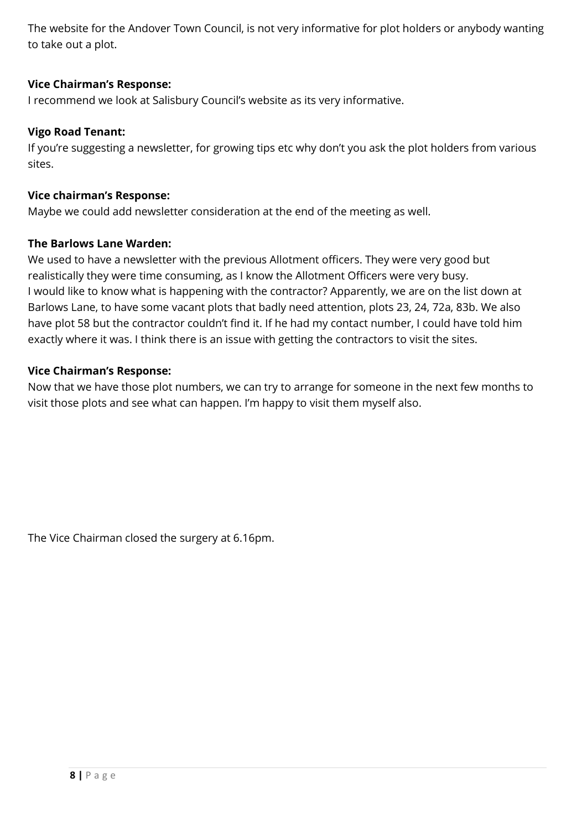The website for the Andover Town Council, is not very informative for plot holders or anybody wanting to take out a plot.

#### **Vice Chairman's Response:**

I recommend we look at Salisbury Council's website as its very informative.

#### **Vigo Road Tenant:**

If you're suggesting a newsletter, for growing tips etc why don't you ask the plot holders from various sites.

#### **Vice chairman's Response:**

Maybe we could add newsletter consideration at the end of the meeting as well.

#### **The Barlows Lane Warden:**

We used to have a newsletter with the previous Allotment officers. They were very good but realistically they were time consuming, as I know the Allotment Officers were very busy. I would like to know what is happening with the contractor? Apparently, we are on the list down at Barlows Lane, to have some vacant plots that badly need attention, plots 23, 24, 72a, 83b. We also have plot 58 but the contractor couldn't find it. If he had my contact number, I could have told him exactly where it was. I think there is an issue with getting the contractors to visit the sites.

#### **Vice Chairman's Response:**

Now that we have those plot numbers, we can try to arrange for someone in the next few months to visit those plots and see what can happen. I'm happy to visit them myself also.

The Vice Chairman closed the surgery at 6.16pm.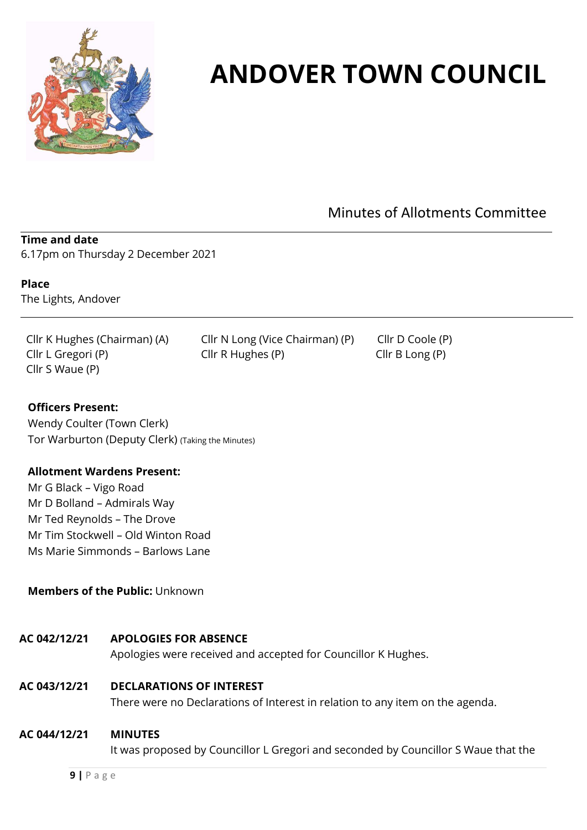

# **ANDOVER TOWN COUNCIL**

Minutes of Allotments Committee

#### **Time and date**

6.17pm on Thursday 2 December 2021

**Place**  The Lights, Andover

Cllr K Hughes (Chairman) (A) Cllr N Long (Vice Chairman) (P) Cllr D Coole (P) Cllr L Gregori (P) Cllr R Hughes (P) Cllr B Long (P) Cllr S Waue (P)

#### **Officers Present:**

Wendy Coulter (Town Clerk) Tor Warburton (Deputy Clerk) (Taking the Minutes)

#### **Allotment Wardens Present:**

Mr G Black – Vigo Road Mr D Bolland – Admirals Way Mr Ted Reynolds – The Drove Mr Tim Stockwell – Old Winton Road Ms Marie Simmonds – Barlows Lane

#### **Members of the Public:** Unknown

#### **AC 042/12/21 APOLOGIES FOR ABSENCE**

Apologies were received and accepted for Councillor K Hughes.

#### **AC 043/12/21 DECLARATIONS OF INTEREST**

There were no Declarations of Interest in relation to any item on the agenda.

#### **AC 044/12/21 MINUTES**

It was proposed by Councillor L Gregori and seconded by Councillor S Waue that the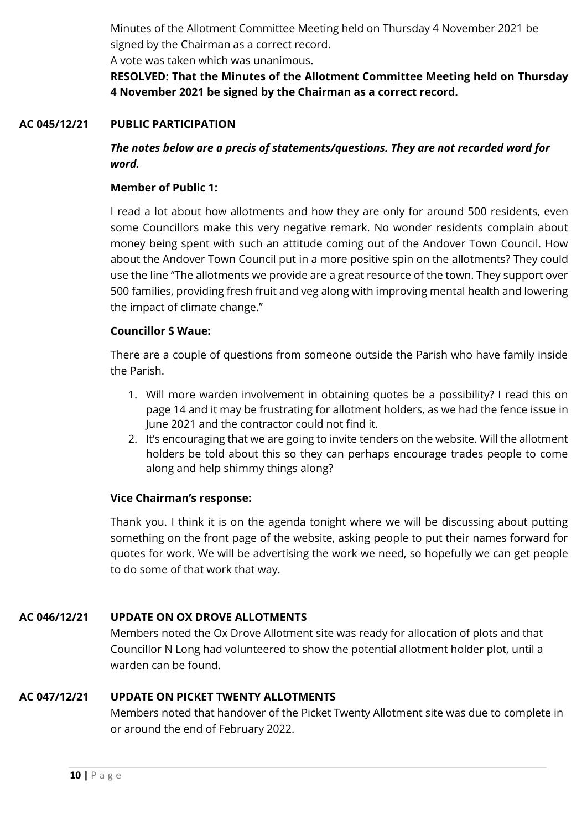Minutes of the Allotment Committee Meeting held on Thursday 4 November 2021 be signed by the Chairman as a correct record.

A vote was taken which was unanimous.

**RESOLVED: That the Minutes of the Allotment Committee Meeting held on Thursday 4 November 2021 be signed by the Chairman as a correct record.**

#### **AC 045/12/21 PUBLIC PARTICIPATION**

*The notes below are a precis of statements/questions. They are not recorded word for word.*

#### **Member of Public 1:**

I read a lot about how allotments and how they are only for around 500 residents, even some Councillors make this very negative remark. No wonder residents complain about money being spent with such an attitude coming out of the Andover Town Council. How about the Andover Town Council put in a more positive spin on the allotments? They could use the line "The allotments we provide are a great resource of the town. They support over 500 families, providing fresh fruit and veg along with improving mental health and lowering the impact of climate change."

#### **Councillor S Waue:**

There are a couple of questions from someone outside the Parish who have family inside the Parish.

- 1. Will more warden involvement in obtaining quotes be a possibility? I read this on page 14 and it may be frustrating for allotment holders, as we had the fence issue in June 2021 and the contractor could not find it.
- 2. It's encouraging that we are going to invite tenders on the website. Will the allotment holders be told about this so they can perhaps encourage trades people to come along and help shimmy things along?

#### **Vice Chairman's response:**

Thank you. I think it is on the agenda tonight where we will be discussing about putting something on the front page of the website, asking people to put their names forward for quotes for work. We will be advertising the work we need, so hopefully we can get people to do some of that work that way.

#### **AC 046/12/21 UPDATE ON OX DROVE ALLOTMENTS**

Members noted the Ox Drove Allotment site was ready for allocation of plots and that Councillor N Long had volunteered to show the potential allotment holder plot, until a warden can be found.

#### **AC 047/12/21 UPDATE ON PICKET TWENTY ALLOTMENTS**

Members noted that handover of the Picket Twenty Allotment site was due to complete in or around the end of February 2022.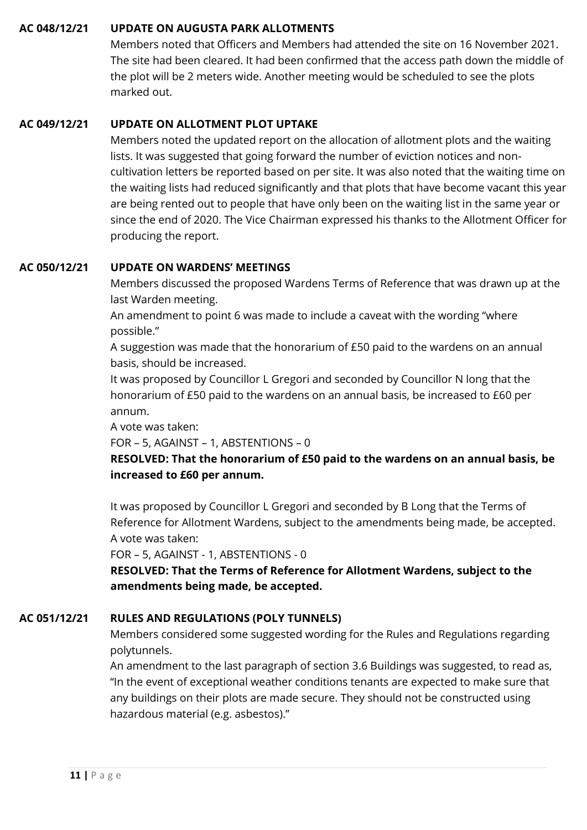#### **AC 048/12/21 UPDATE ON AUGUSTA PARK ALLOTMENTS**

Members noted that Officers and Members had attended the site on 16 November 2021. The site had been cleared. It had been confirmed that the access path down the middle of the plot will be 2 meters wide. Another meeting would be scheduled to see the plots marked out.

#### **AC 049/12/21 UPDATE ON ALLOTMENT PLOT UPTAKE**

Members noted the updated report on the allocation of allotment plots and the waiting lists. It was suggested that going forward the number of eviction notices and noncultivation letters be reported based on per site. It was also noted that the waiting time on the waiting lists had reduced significantly and that plots that have become vacant this year are being rented out to people that have only been on the waiting list in the same year or since the end of 2020. The Vice Chairman expressed his thanks to the Allotment Officer for producing the report.

#### **AC 050/12/21 UPDATE ON WARDENS' MEETINGS**

Members discussed the proposed Wardens Terms of Reference that was drawn up at the last Warden meeting.

An amendment to point 6 was made to include a caveat with the wording "where possible."

A suggestion was made that the honorarium of £50 paid to the wardens on an annual basis, should be increased.

It was proposed by Councillor L Gregori and seconded by Councillor N long that the honorarium of £50 paid to the wardens on an annual basis, be increased to £60 per annum.

A vote was taken:

FOR – 5, AGAINST – 1, ABSTENTIONS – 0

**RESOLVED: That the honorarium of £50 paid to the wardens on an annual basis, be increased to £60 per annum.**

It was proposed by Councillor L Gregori and seconded by B Long that the Terms of Reference for Allotment Wardens, subject to the amendments being made, be accepted. A vote was taken:

FOR – 5, AGAINST - 1, ABSTENTIONS - 0

**RESOLVED: That the Terms of Reference for Allotment Wardens, subject to the amendments being made, be accepted.**

#### **AC 051/12/21 RULES AND REGULATIONS (POLY TUNNELS)**

Members considered some suggested wording for the Rules and Regulations regarding polytunnels.

An amendment to the last paragraph of section 3.6 Buildings was suggested, to read as, "In the event of exceptional weather conditions tenants are expected to make sure that any buildings on their plots are made secure. They should not be constructed using hazardous material (e.g. asbestos)."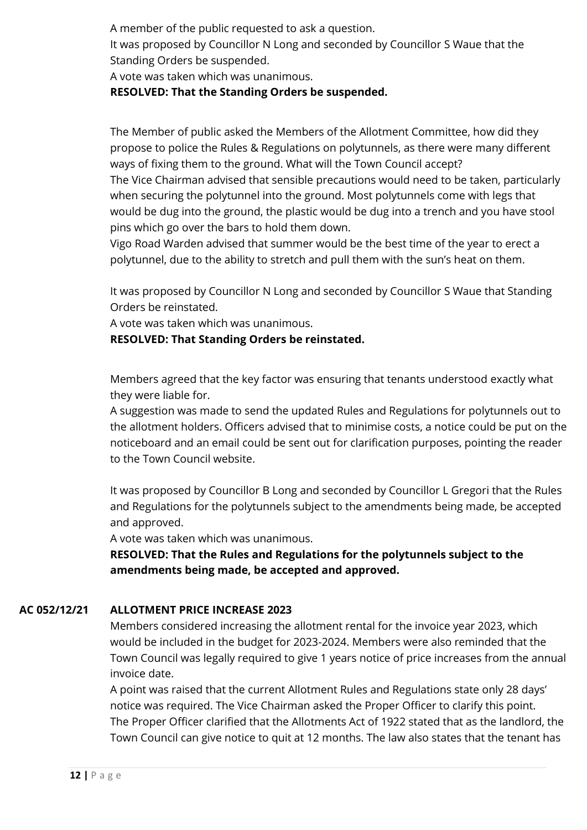A member of the public requested to ask a question.

It was proposed by Councillor N Long and seconded by Councillor S Waue that the Standing Orders be suspended.

A vote was taken which was unanimous.

#### **RESOLVED: That the Standing Orders be suspended.**

The Member of public asked the Members of the Allotment Committee, how did they propose to police the Rules & Regulations on polytunnels, as there were many different ways of fixing them to the ground. What will the Town Council accept?

The Vice Chairman advised that sensible precautions would need to be taken, particularly when securing the polytunnel into the ground. Most polytunnels come with legs that would be dug into the ground, the plastic would be dug into a trench and you have stool pins which go over the bars to hold them down.

Vigo Road Warden advised that summer would be the best time of the year to erect a polytunnel, due to the ability to stretch and pull them with the sun's heat on them.

It was proposed by Councillor N Long and seconded by Councillor S Waue that Standing Orders be reinstated.

A vote was taken which was unanimous.

**RESOLVED: That Standing Orders be reinstated.**

Members agreed that the key factor was ensuring that tenants understood exactly what they were liable for.

A suggestion was made to send the updated Rules and Regulations for polytunnels out to the allotment holders. Officers advised that to minimise costs, a notice could be put on the noticeboard and an email could be sent out for clarification purposes, pointing the reader to the Town Council website.

It was proposed by Councillor B Long and seconded by Councillor L Gregori that the Rules and Regulations for the polytunnels subject to the amendments being made, be accepted and approved.

A vote was taken which was unanimous.

**RESOLVED: That the Rules and Regulations for the polytunnels subject to the amendments being made, be accepted and approved.**

#### **AC 052/12/21 ALLOTMENT PRICE INCREASE 2023**

Members considered increasing the allotment rental for the invoice year 2023, which would be included in the budget for 2023-2024. Members were also reminded that the Town Council was legally required to give 1 years notice of price increases from the annual invoice date.

A point was raised that the current Allotment Rules and Regulations state only 28 days' notice was required. The Vice Chairman asked the Proper Officer to clarify this point. The Proper Officer clarified that the Allotments Act of 1922 stated that as the landlord, the Town Council can give notice to quit at 12 months. The law also states that the tenant has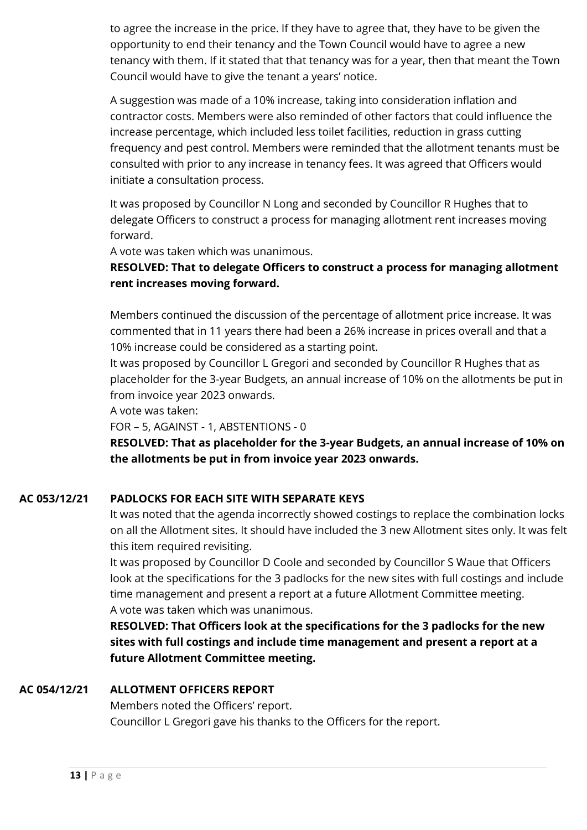to agree the increase in the price. If they have to agree that, they have to be given the opportunity to end their tenancy and the Town Council would have to agree a new tenancy with them. If it stated that that tenancy was for a year, then that meant the Town Council would have to give the tenant a years' notice.

A suggestion was made of a 10% increase, taking into consideration inflation and contractor costs. Members were also reminded of other factors that could influence the increase percentage, which included less toilet facilities, reduction in grass cutting frequency and pest control. Members were reminded that the allotment tenants must be consulted with prior to any increase in tenancy fees. It was agreed that Officers would initiate a consultation process.

It was proposed by Councillor N Long and seconded by Councillor R Hughes that to delegate Officers to construct a process for managing allotment rent increases moving forward.

A vote was taken which was unanimous.

#### **RESOLVED: That to delegate Officers to construct a process for managing allotment rent increases moving forward.**

Members continued the discussion of the percentage of allotment price increase. It was commented that in 11 years there had been a 26% increase in prices overall and that a 10% increase could be considered as a starting point.

It was proposed by Councillor L Gregori and seconded by Councillor R Hughes that as placeholder for the 3-year Budgets, an annual increase of 10% on the allotments be put in from invoice year 2023 onwards.

A vote was taken:

FOR – 5, AGAINST - 1, ABSTENTIONS - 0

**RESOLVED: That as placeholder for the 3-year Budgets, an annual increase of 10% on the allotments be put in from invoice year 2023 onwards.**

#### **AC 053/12/21 PADLOCKS FOR EACH SITE WITH SEPARATE KEYS**

It was noted that the agenda incorrectly showed costings to replace the combination locks on all the Allotment sites. It should have included the 3 new Allotment sites only. It was felt this item required revisiting.

It was proposed by Councillor D Coole and seconded by Councillor S Waue that Officers look at the specifications for the 3 padlocks for the new sites with full costings and include time management and present a report at a future Allotment Committee meeting. A vote was taken which was unanimous.

**RESOLVED: That Officers look at the specifications for the 3 padlocks for the new sites with full costings and include time management and present a report at a future Allotment Committee meeting.**

#### **AC 054/12/21 ALLOTMENT OFFICERS REPORT**

Members noted the Officers' report. Councillor L Gregori gave his thanks to the Officers for the report.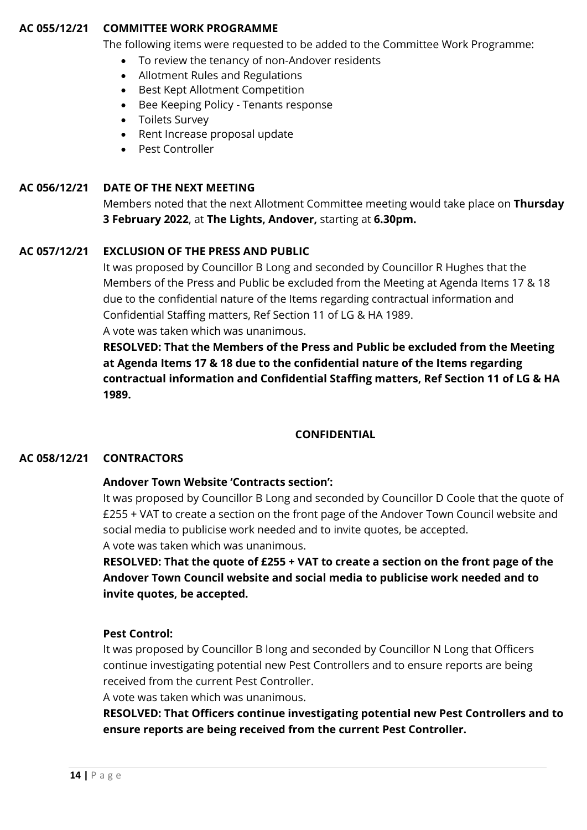#### **AC 055/12/21 COMMITTEE WORK PROGRAMME**

The following items were requested to be added to the Committee Work Programme:

- To review the tenancy of non-Andover residents
- Allotment Rules and Regulations
- Best Kept Allotment Competition
- Bee Keeping Policy Tenants response
- Toilets Survey
- Rent Increase proposal update
- Pest Controller

#### **AC 056/12/21 DATE OF THE NEXT MEETING**

Members noted that the next Allotment Committee meeting would take place on **Thursday 3 February 2022**, at **The Lights, Andover,** starting at **6.30pm.**

#### **AC 057/12/21 EXCLUSION OF THE PRESS AND PUBLIC**

It was proposed by Councillor B Long and seconded by Councillor R Hughes that the Members of the Press and Public be excluded from the Meeting at Agenda Items 17 & 18 due to the confidential nature of the Items regarding contractual information and Confidential Staffing matters, Ref Section 11 of LG & HA 1989. A vote was taken which was unanimous.

**RESOLVED: That the Members of the Press and Public be excluded from the Meeting at Agenda Items 17 & 18 due to the confidential nature of the Items regarding contractual information and Confidential Staffing matters, Ref Section 11 of LG & HA 1989.**

#### **CONFIDENTIAL**

#### **AC 058/12/21 CONTRACTORS**

#### **Andover Town Website 'Contracts section':**

It was proposed by Councillor B Long and seconded by Councillor D Coole that the quote of £255 + VAT to create a section on the front page of the Andover Town Council website and social media to publicise work needed and to invite quotes, be accepted. A vote was taken which was unanimous.

**RESOLVED: That the quote of £255 + VAT to create a section on the front page of the Andover Town Council website and social media to publicise work needed and to invite quotes, be accepted.**

#### **Pest Control:**

It was proposed by Councillor B long and seconded by Councillor N Long that Officers continue investigating potential new Pest Controllers and to ensure reports are being received from the current Pest Controller.

A vote was taken which was unanimous.

**RESOLVED: That Officers continue investigating potential new Pest Controllers and to ensure reports are being received from the current Pest Controller.**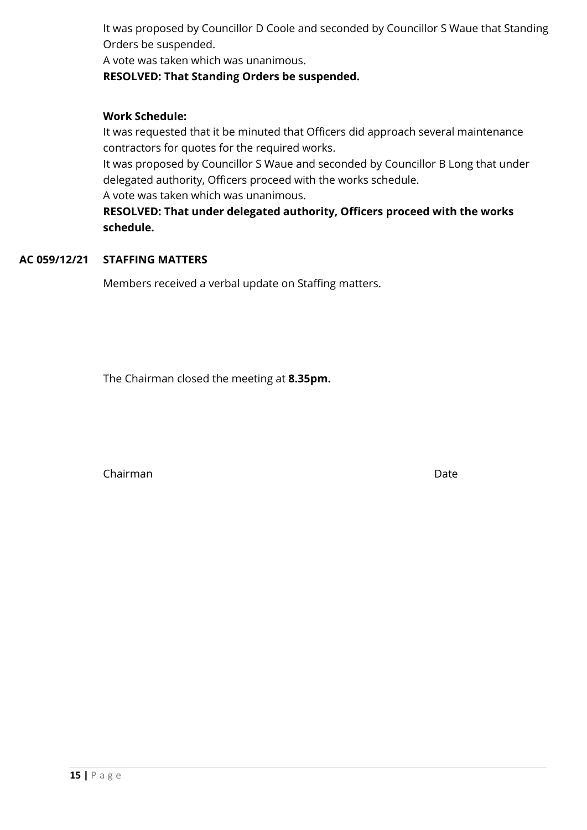It was proposed by Councillor D Coole and seconded by Councillor S Waue that Standing Orders be suspended.

A vote was taken which was unanimous.

#### **RESOLVED: That Standing Orders be suspended.**

#### **Work Schedule:**

It was requested that it be minuted that Officers did approach several maintenance contractors for quotes for the required works.

It was proposed by Councillor S Waue and seconded by Councillor B Long that under delegated authority, Officers proceed with the works schedule.

A vote was taken which was unanimous.

**RESOLVED: That under delegated authority, Officers proceed with the works schedule.**

#### **AC 059/12/21 STAFFING MATTERS**

Members received a verbal update on Staffing matters.

The Chairman closed the meeting at **8.35pm.**

Chairman Date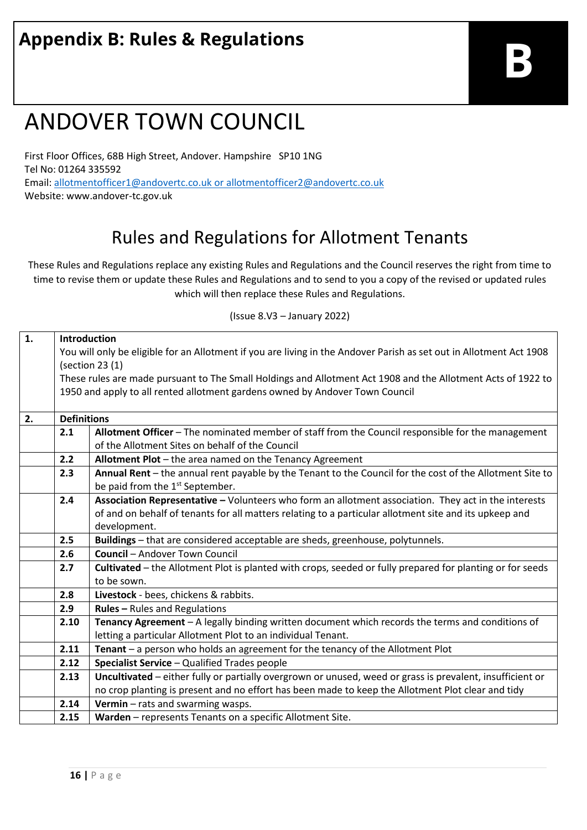# **Appendix B: Rules & Regulations**

# ANDOVER TOWN COUNCIL

First Floor Offices, 68B High Street, Andover. Hampshire SP10 1NG Tel No: 01264 335592 Email: [allotmentofficer1@andovertc.co.uk](mailto:allotmentofficer1@andovertc.co.uk) o[r allotmentofficer2@andovertc.co.uk](mailto:allotmentofficer2@andovertc.co.uk) Website: www.andover-tc.gov.uk

# Rules and Regulations for Allotment Tenants

These Rules and Regulations replace any existing Rules and Regulations and the Council reserves the right from time to time to revise them or update these Rules and Regulations and to send to you a copy of the revised or updated rules which will then replace these Rules and Regulations.

(Issue 8.V3 – January 2022)

| $\mathbf{1}$ . | <b>Introduction</b>                                                                                                 |                                                                                                                  |  |  |  |
|----------------|---------------------------------------------------------------------------------------------------------------------|------------------------------------------------------------------------------------------------------------------|--|--|--|
|                | You will only be eligible for an Allotment if you are living in the Andover Parish as set out in Allotment Act 1908 |                                                                                                                  |  |  |  |
|                | (section 23 (1)                                                                                                     |                                                                                                                  |  |  |  |
|                | These rules are made pursuant to The Small Holdings and Allotment Act 1908 and the Allotment Acts of 1922 to        |                                                                                                                  |  |  |  |
|                |                                                                                                                     | 1950 and apply to all rented allotment gardens owned by Andover Town Council                                     |  |  |  |
|                |                                                                                                                     |                                                                                                                  |  |  |  |
| 2.             | <b>Definitions</b>                                                                                                  |                                                                                                                  |  |  |  |
|                | 2.1<br>Allotment Officer - The nominated member of staff from the Council responsible for the management            |                                                                                                                  |  |  |  |
|                |                                                                                                                     | of the Allotment Sites on behalf of the Council                                                                  |  |  |  |
|                | Allotment Plot - the area named on the Tenancy Agreement<br>2.2                                                     |                                                                                                                  |  |  |  |
|                | 2.3                                                                                                                 | Annual Rent - the annual rent payable by the Tenant to the Council for the cost of the Allotment Site to         |  |  |  |
|                | be paid from the 1 <sup>st</sup> September.                                                                         |                                                                                                                  |  |  |  |
|                | 2.4                                                                                                                 | Association Representative - Volunteers who form an allotment association. They act in the interests             |  |  |  |
|                |                                                                                                                     | of and on behalf of tenants for all matters relating to a particular allotment site and its upkeep and           |  |  |  |
|                |                                                                                                                     | development.                                                                                                     |  |  |  |
|                | 2.5                                                                                                                 | Buildings - that are considered acceptable are sheds, greenhouse, polytunnels.                                   |  |  |  |
|                | 2.6                                                                                                                 | <b>Council - Andover Town Council</b>                                                                            |  |  |  |
|                | 2.7                                                                                                                 | <b>Cultivated</b> – the Allotment Plot is planted with crops, seeded or fully prepared for planting or for seeds |  |  |  |
|                |                                                                                                                     | to be sown.                                                                                                      |  |  |  |
|                | 2.8                                                                                                                 | Livestock - bees, chickens & rabbits.                                                                            |  |  |  |
|                | 2.9                                                                                                                 | <b>Rules - Rules and Regulations</b>                                                                             |  |  |  |
|                | 2.10                                                                                                                | Tenancy Agreement - A legally binding written document which records the terms and conditions of                 |  |  |  |
|                |                                                                                                                     | letting a particular Allotment Plot to an individual Tenant.                                                     |  |  |  |
|                | 2.11                                                                                                                | Tenant - a person who holds an agreement for the tenancy of the Allotment Plot                                   |  |  |  |
|                | 2.12                                                                                                                | Specialist Service - Qualified Trades people                                                                     |  |  |  |
|                | 2.13                                                                                                                | Uncultivated - either fully or partially overgrown or unused, weed or grass is prevalent, insufficient or        |  |  |  |
|                |                                                                                                                     | no crop planting is present and no effort has been made to keep the Allotment Plot clear and tidy                |  |  |  |
|                | 2.14                                                                                                                | Vermin - rats and swarming wasps.                                                                                |  |  |  |
|                | 2.15                                                                                                                | Warden - represents Tenants on a specific Allotment Site.                                                        |  |  |  |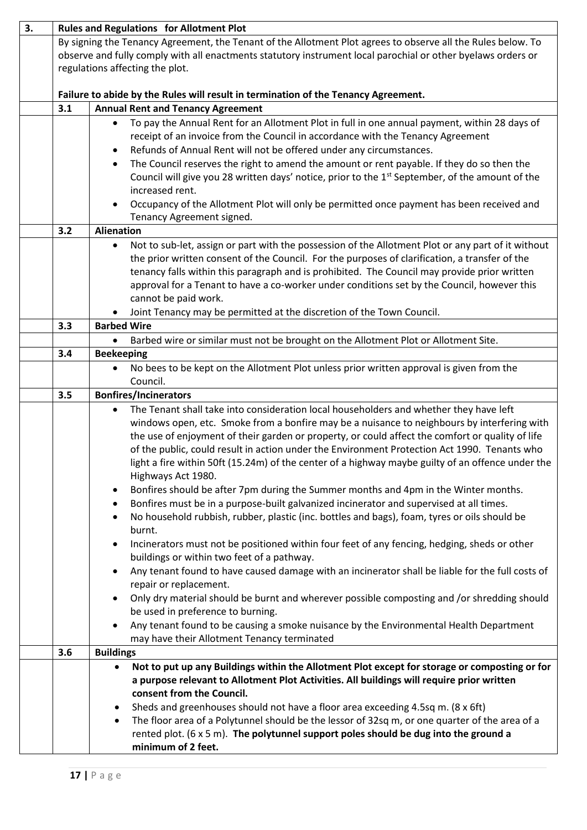| 3. | <b>Rules and Regulations for Allotment Plot</b>                                                                                                                                                                                                                 |                                                                                                                                                                                                                                                                                                                                                                                                                                                                                                                                                                                                                                                                                                                                                                                                                                                                                                                                                                                                                                                                                                                                                                                                                                                                                                                                                                                                                                                                           |  |  |
|----|-----------------------------------------------------------------------------------------------------------------------------------------------------------------------------------------------------------------------------------------------------------------|---------------------------------------------------------------------------------------------------------------------------------------------------------------------------------------------------------------------------------------------------------------------------------------------------------------------------------------------------------------------------------------------------------------------------------------------------------------------------------------------------------------------------------------------------------------------------------------------------------------------------------------------------------------------------------------------------------------------------------------------------------------------------------------------------------------------------------------------------------------------------------------------------------------------------------------------------------------------------------------------------------------------------------------------------------------------------------------------------------------------------------------------------------------------------------------------------------------------------------------------------------------------------------------------------------------------------------------------------------------------------------------------------------------------------------------------------------------------------|--|--|
|    | By signing the Tenancy Agreement, the Tenant of the Allotment Plot agrees to observe all the Rules below. To<br>observe and fully comply with all enactments statutory instrument local parochial or other byelaws orders or<br>regulations affecting the plot. |                                                                                                                                                                                                                                                                                                                                                                                                                                                                                                                                                                                                                                                                                                                                                                                                                                                                                                                                                                                                                                                                                                                                                                                                                                                                                                                                                                                                                                                                           |  |  |
|    | Failure to abide by the Rules will result in termination of the Tenancy Agreement.                                                                                                                                                                              |                                                                                                                                                                                                                                                                                                                                                                                                                                                                                                                                                                                                                                                                                                                                                                                                                                                                                                                                                                                                                                                                                                                                                                                                                                                                                                                                                                                                                                                                           |  |  |
|    | 3.1<br><b>Annual Rent and Tenancy Agreement</b>                                                                                                                                                                                                                 |                                                                                                                                                                                                                                                                                                                                                                                                                                                                                                                                                                                                                                                                                                                                                                                                                                                                                                                                                                                                                                                                                                                                                                                                                                                                                                                                                                                                                                                                           |  |  |
|    |                                                                                                                                                                                                                                                                 | To pay the Annual Rent for an Allotment Plot in full in one annual payment, within 28 days of<br>$\bullet$<br>receipt of an invoice from the Council in accordance with the Tenancy Agreement<br>Refunds of Annual Rent will not be offered under any circumstances.<br>٠<br>The Council reserves the right to amend the amount or rent payable. If they do so then the<br>$\bullet$<br>Council will give you 28 written days' notice, prior to the 1 <sup>st</sup> September, of the amount of the<br>increased rent.<br>Occupancy of the Allotment Plot will only be permitted once payment has been received and                                                                                                                                                                                                                                                                                                                                                                                                                                                                                                                                                                                                                                                                                                                                                                                                                                                       |  |  |
|    |                                                                                                                                                                                                                                                                 | Tenancy Agreement signed.                                                                                                                                                                                                                                                                                                                                                                                                                                                                                                                                                                                                                                                                                                                                                                                                                                                                                                                                                                                                                                                                                                                                                                                                                                                                                                                                                                                                                                                 |  |  |
|    | 3.2                                                                                                                                                                                                                                                             | <b>Alienation</b><br>Not to sub-let, assign or part with the possession of the Allotment Plot or any part of it without<br>$\bullet$<br>the prior written consent of the Council. For the purposes of clarification, a transfer of the<br>tenancy falls within this paragraph and is prohibited. The Council may provide prior written<br>approval for a Tenant to have a co-worker under conditions set by the Council, however this<br>cannot be paid work.<br>Joint Tenancy may be permitted at the discretion of the Town Council.                                                                                                                                                                                                                                                                                                                                                                                                                                                                                                                                                                                                                                                                                                                                                                                                                                                                                                                                    |  |  |
|    | 3.3                                                                                                                                                                                                                                                             | <b>Barbed Wire</b>                                                                                                                                                                                                                                                                                                                                                                                                                                                                                                                                                                                                                                                                                                                                                                                                                                                                                                                                                                                                                                                                                                                                                                                                                                                                                                                                                                                                                                                        |  |  |
|    |                                                                                                                                                                                                                                                                 | Barbed wire or similar must not be brought on the Allotment Plot or Allotment Site.                                                                                                                                                                                                                                                                                                                                                                                                                                                                                                                                                                                                                                                                                                                                                                                                                                                                                                                                                                                                                                                                                                                                                                                                                                                                                                                                                                                       |  |  |
|    | 3.4                                                                                                                                                                                                                                                             | <b>Beekeeping</b>                                                                                                                                                                                                                                                                                                                                                                                                                                                                                                                                                                                                                                                                                                                                                                                                                                                                                                                                                                                                                                                                                                                                                                                                                                                                                                                                                                                                                                                         |  |  |
|    |                                                                                                                                                                                                                                                                 | No bees to be kept on the Allotment Plot unless prior written approval is given from the                                                                                                                                                                                                                                                                                                                                                                                                                                                                                                                                                                                                                                                                                                                                                                                                                                                                                                                                                                                                                                                                                                                                                                                                                                                                                                                                                                                  |  |  |
|    |                                                                                                                                                                                                                                                                 | Council.                                                                                                                                                                                                                                                                                                                                                                                                                                                                                                                                                                                                                                                                                                                                                                                                                                                                                                                                                                                                                                                                                                                                                                                                                                                                                                                                                                                                                                                                  |  |  |
|    | <b>Bonfires/Incinerators</b><br>3.5                                                                                                                                                                                                                             |                                                                                                                                                                                                                                                                                                                                                                                                                                                                                                                                                                                                                                                                                                                                                                                                                                                                                                                                                                                                                                                                                                                                                                                                                                                                                                                                                                                                                                                                           |  |  |
|    |                                                                                                                                                                                                                                                                 | The Tenant shall take into consideration local householders and whether they have left<br>$\bullet$<br>windows open, etc. Smoke from a bonfire may be a nuisance to neighbours by interfering with<br>the use of enjoyment of their garden or property, or could affect the comfort or quality of life<br>of the public, could result in action under the Environment Protection Act 1990. Tenants who<br>light a fire within 50ft (15.24m) of the center of a highway maybe guilty of an offence under the<br>Highways Act 1980.<br>Bonfires should be after 7pm during the Summer months and 4pm in the Winter months.<br>$\bullet$<br>Bonfires must be in a purpose-built galvanized incinerator and supervised at all times.<br>$\bullet$<br>No household rubbish, rubber, plastic (inc. bottles and bags), foam, tyres or oils should be<br>$\bullet$<br>burnt.<br>Incinerators must not be positioned within four feet of any fencing, hedging, sheds or other<br>$\bullet$<br>buildings or within two feet of a pathway.<br>Any tenant found to have caused damage with an incinerator shall be liable for the full costs of<br>٠<br>repair or replacement.<br>Only dry material should be burnt and wherever possible composting and /or shredding should<br>$\bullet$<br>be used in preference to burning.<br>Any tenant found to be causing a smoke nuisance by the Environmental Health Department<br>$\bullet$<br>may have their Allotment Tenancy terminated |  |  |
|    | 3.6                                                                                                                                                                                                                                                             | <b>Buildings</b>                                                                                                                                                                                                                                                                                                                                                                                                                                                                                                                                                                                                                                                                                                                                                                                                                                                                                                                                                                                                                                                                                                                                                                                                                                                                                                                                                                                                                                                          |  |  |
|    |                                                                                                                                                                                                                                                                 | Not to put up any Buildings within the Allotment Plot except for storage or composting or for<br>$\bullet$<br>a purpose relevant to Allotment Plot Activities. All buildings will require prior written<br>consent from the Council.<br>Sheds and greenhouses should not have a floor area exceeding 4.5sq m. (8 x 6ft)<br>$\bullet$<br>The floor area of a Polytunnel should be the lessor of 32sq m, or one quarter of the area of a<br>$\bullet$<br>rented plot. $(6 \times 5 \text{ m})$ . The polytunnel support poles should be dug into the ground a<br>minimum of 2 feet.                                                                                                                                                                                                                                                                                                                                                                                                                                                                                                                                                                                                                                                                                                                                                                                                                                                                                         |  |  |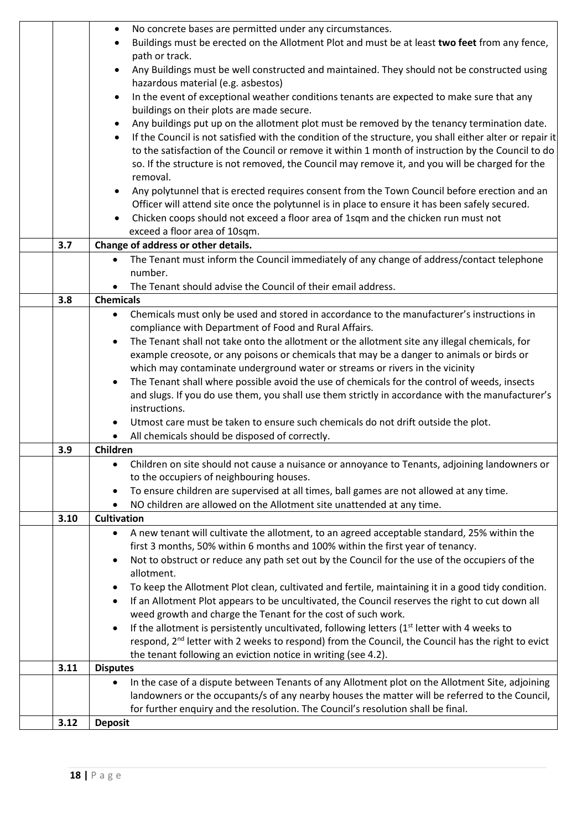|      | No concrete bases are permitted under any circumstances.<br>$\bullet$                                                 |  |  |  |
|------|-----------------------------------------------------------------------------------------------------------------------|--|--|--|
|      | Buildings must be erected on the Allotment Plot and must be at least two feet from any fence,                         |  |  |  |
|      | path or track.                                                                                                        |  |  |  |
|      | Any Buildings must be well constructed and maintained. They should not be constructed using<br>$\bullet$              |  |  |  |
|      | hazardous material (e.g. asbestos)                                                                                    |  |  |  |
|      | In the event of exceptional weather conditions tenants are expected to make sure that any<br>$\bullet$                |  |  |  |
|      | buildings on their plots are made secure.                                                                             |  |  |  |
|      | Any buildings put up on the allotment plot must be removed by the tenancy termination date.<br>$\bullet$              |  |  |  |
|      | If the Council is not satisfied with the condition of the structure, you shall either alter or repair it<br>$\bullet$ |  |  |  |
|      | to the satisfaction of the Council or remove it within 1 month of instruction by the Council to do                    |  |  |  |
|      |                                                                                                                       |  |  |  |
|      | so. If the structure is not removed, the Council may remove it, and you will be charged for the                       |  |  |  |
|      | removal.                                                                                                              |  |  |  |
|      | Any polytunnel that is erected requires consent from the Town Council before erection and an<br>$\bullet$             |  |  |  |
|      | Officer will attend site once the polytunnel is in place to ensure it has been safely secured.                        |  |  |  |
|      | Chicken coops should not exceed a floor area of 1sqm and the chicken run must not<br>$\bullet$                        |  |  |  |
|      | exceed a floor area of 10sqm.                                                                                         |  |  |  |
| 3.7  | Change of address or other details.                                                                                   |  |  |  |
|      | The Tenant must inform the Council immediately of any change of address/contact telephone<br>$\bullet$                |  |  |  |
|      | number.                                                                                                               |  |  |  |
|      | The Tenant should advise the Council of their email address.                                                          |  |  |  |
| 3.8  | <b>Chemicals</b>                                                                                                      |  |  |  |
|      | Chemicals must only be used and stored in accordance to the manufacturer's instructions in<br>$\bullet$               |  |  |  |
|      | compliance with Department of Food and Rural Affairs.                                                                 |  |  |  |
|      | The Tenant shall not take onto the allotment or the allotment site any illegal chemicals, for<br>$\bullet$            |  |  |  |
|      | example creosote, or any poisons or chemicals that may be a danger to animals or birds or                             |  |  |  |
|      | which may contaminate underground water or streams or rivers in the vicinity                                          |  |  |  |
|      | The Tenant shall where possible avoid the use of chemicals for the control of weeds, insects<br>$\bullet$             |  |  |  |
|      | and slugs. If you do use them, you shall use them strictly in accordance with the manufacturer's                      |  |  |  |
|      | instructions.                                                                                                         |  |  |  |
|      | Utmost care must be taken to ensure such chemicals do not drift outside the plot.                                     |  |  |  |
|      | All chemicals should be disposed of correctly.<br>٠                                                                   |  |  |  |
| 3.9  | Children                                                                                                              |  |  |  |
|      | Children on site should not cause a nuisance or annoyance to Tenants, adjoining landowners or                         |  |  |  |
|      | to the occupiers of neighbouring houses.                                                                              |  |  |  |
|      | To ensure children are supervised at all times, ball games are not allowed at any time.<br>$\bullet$                  |  |  |  |
|      | NO children are allowed on the Allotment site unattended at any time.<br>$\bullet$                                    |  |  |  |
| 3.10 | <b>Cultivation</b>                                                                                                    |  |  |  |
|      | A new tenant will cultivate the allotment, to an agreed acceptable standard, 25% within the<br>$\bullet$              |  |  |  |
|      | first 3 months, 50% within 6 months and 100% within the first year of tenancy.                                        |  |  |  |
|      | Not to obstruct or reduce any path set out by the Council for the use of the occupiers of the<br>٠                    |  |  |  |
|      | allotment.                                                                                                            |  |  |  |
|      | To keep the Allotment Plot clean, cultivated and fertile, maintaining it in a good tidy condition.                    |  |  |  |
|      | If an Allotment Plot appears to be uncultivated, the Council reserves the right to cut down all<br>٠                  |  |  |  |
|      | weed growth and charge the Tenant for the cost of such work.                                                          |  |  |  |
|      | If the allotment is persistently uncultivated, following letters $(1st$ letter with 4 weeks to<br>$\bullet$           |  |  |  |
|      | respond, 2 <sup>nd</sup> letter with 2 weeks to respond) from the Council, the Council has the right to evict         |  |  |  |
|      | the tenant following an eviction notice in writing (see 4.2).                                                         |  |  |  |
| 3.11 | <b>Disputes</b>                                                                                                       |  |  |  |
|      | In the case of a dispute between Tenants of any Allotment plot on the Allotment Site, adjoining                       |  |  |  |
|      | landowners or the occupants/s of any nearby houses the matter will be referred to the Council,                        |  |  |  |
|      | for further enquiry and the resolution. The Council's resolution shall be final.                                      |  |  |  |
| 3.12 | <b>Deposit</b>                                                                                                        |  |  |  |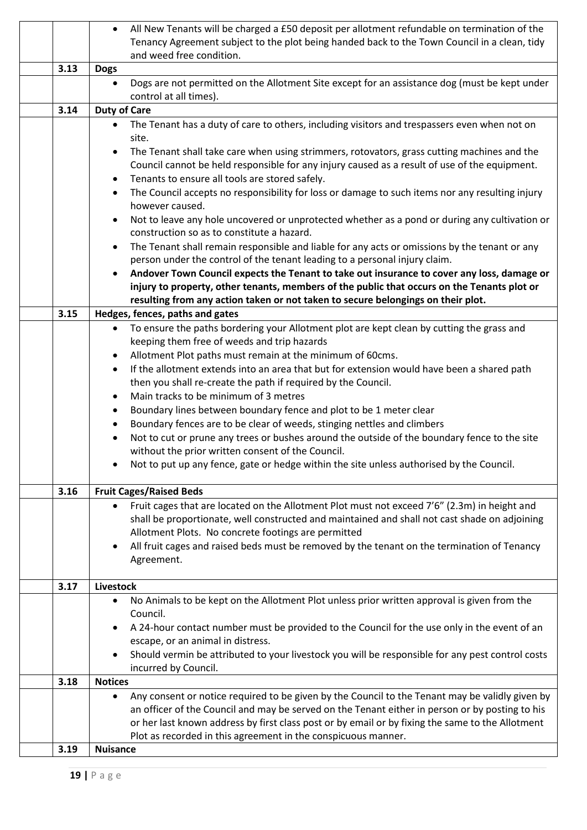|                                                                                                              | All New Tenants will be charged a £50 deposit per allotment refundable on termination of the<br>$\bullet$                                            |  |  |  |
|--------------------------------------------------------------------------------------------------------------|------------------------------------------------------------------------------------------------------------------------------------------------------|--|--|--|
|                                                                                                              | Tenancy Agreement subject to the plot being handed back to the Town Council in a clean, tidy                                                         |  |  |  |
|                                                                                                              | and weed free condition.                                                                                                                             |  |  |  |
| 3.13                                                                                                         | <b>Dogs</b>                                                                                                                                          |  |  |  |
|                                                                                                              | Dogs are not permitted on the Allotment Site except for an assistance dog (must be kept under<br>$\bullet$                                           |  |  |  |
|                                                                                                              | control at all times).                                                                                                                               |  |  |  |
| 3.14                                                                                                         | <b>Duty of Care</b>                                                                                                                                  |  |  |  |
|                                                                                                              | The Tenant has a duty of care to others, including visitors and trespassers even when not on<br>$\bullet$                                            |  |  |  |
|                                                                                                              | site.                                                                                                                                                |  |  |  |
|                                                                                                              | The Tenant shall take care when using strimmers, rotovators, grass cutting machines and the<br>$\bullet$                                             |  |  |  |
|                                                                                                              | Council cannot be held responsible for any injury caused as a result of use of the equipment.                                                        |  |  |  |
|                                                                                                              | Tenants to ensure all tools are stored safely.<br>$\bullet$                                                                                          |  |  |  |
| The Council accepts no responsibility for loss or damage to such items nor any resulting injury<br>$\bullet$ |                                                                                                                                                      |  |  |  |
|                                                                                                              | however caused.                                                                                                                                      |  |  |  |
|                                                                                                              | Not to leave any hole uncovered or unprotected whether as a pond or during any cultivation or<br>$\bullet$                                           |  |  |  |
|                                                                                                              | construction so as to constitute a hazard.                                                                                                           |  |  |  |
|                                                                                                              | The Tenant shall remain responsible and liable for any acts or omissions by the tenant or any<br>$\bullet$                                           |  |  |  |
|                                                                                                              | person under the control of the tenant leading to a personal injury claim.                                                                           |  |  |  |
|                                                                                                              | Andover Town Council expects the Tenant to take out insurance to cover any loss, damage or                                                           |  |  |  |
|                                                                                                              | injury to property, other tenants, members of the public that occurs on the Tenants plot or                                                          |  |  |  |
|                                                                                                              | resulting from any action taken or not taken to secure belongings on their plot.                                                                     |  |  |  |
| 3.15                                                                                                         | Hedges, fences, paths and gates                                                                                                                      |  |  |  |
|                                                                                                              | To ensure the paths bordering your Allotment plot are kept clean by cutting the grass and<br>$\bullet$                                               |  |  |  |
|                                                                                                              | keeping them free of weeds and trip hazards                                                                                                          |  |  |  |
|                                                                                                              | Allotment Plot paths must remain at the minimum of 60cms.<br>$\bullet$                                                                               |  |  |  |
|                                                                                                              |                                                                                                                                                      |  |  |  |
|                                                                                                              | If the allotment extends into an area that but for extension would have been a shared path<br>$\bullet$                                              |  |  |  |
|                                                                                                              | then you shall re-create the path if required by the Council.                                                                                        |  |  |  |
| Main tracks to be minimum of 3 metres<br>$\bullet$                                                           |                                                                                                                                                      |  |  |  |
|                                                                                                              | Boundary lines between boundary fence and plot to be 1 meter clear<br>٠                                                                              |  |  |  |
|                                                                                                              | Boundary fences are to be clear of weeds, stinging nettles and climbers<br>$\bullet$                                                                 |  |  |  |
|                                                                                                              | Not to cut or prune any trees or bushes around the outside of the boundary fence to the site<br>$\bullet$                                            |  |  |  |
|                                                                                                              | without the prior written consent of the Council.                                                                                                    |  |  |  |
|                                                                                                              | Not to put up any fence, gate or hedge within the site unless authorised by the Council.                                                             |  |  |  |
| 3.16                                                                                                         |                                                                                                                                                      |  |  |  |
|                                                                                                              | <b>Fruit Cages/Raised Beds</b>                                                                                                                       |  |  |  |
|                                                                                                              | Fruit cages that are located on the Allotment Plot must not exceed 7'6" (2.3m) in height and                                                         |  |  |  |
|                                                                                                              | shall be proportionate, well constructed and maintained and shall not cast shade on adjoining<br>Allotment Plots. No concrete footings are permitted |  |  |  |
|                                                                                                              | All fruit cages and raised beds must be removed by the tenant on the termination of Tenancy<br>$\bullet$                                             |  |  |  |
|                                                                                                              | Agreement.                                                                                                                                           |  |  |  |
|                                                                                                              |                                                                                                                                                      |  |  |  |
| 3.17                                                                                                         | <b>Livestock</b>                                                                                                                                     |  |  |  |
|                                                                                                              | No Animals to be kept on the Allotment Plot unless prior written approval is given from the<br>$\bullet$                                             |  |  |  |
|                                                                                                              | Council.                                                                                                                                             |  |  |  |
|                                                                                                              | A 24-hour contact number must be provided to the Council for the use only in the event of an<br>$\bullet$                                            |  |  |  |
|                                                                                                              | escape, or an animal in distress.                                                                                                                    |  |  |  |
|                                                                                                              | Should vermin be attributed to your livestock you will be responsible for any pest control costs<br>$\bullet$                                        |  |  |  |
|                                                                                                              | incurred by Council.                                                                                                                                 |  |  |  |
| 3.18                                                                                                         | <b>Notices</b>                                                                                                                                       |  |  |  |
|                                                                                                              | Any consent or notice required to be given by the Council to the Tenant may be validly given by<br>$\bullet$                                         |  |  |  |
|                                                                                                              | an officer of the Council and may be served on the Tenant either in person or by posting to his                                                      |  |  |  |
|                                                                                                              | or her last known address by first class post or by email or by fixing the same to the Allotment                                                     |  |  |  |
|                                                                                                              | Plot as recorded in this agreement in the conspicuous manner.                                                                                        |  |  |  |
| 3.19                                                                                                         | <b>Nuisance</b>                                                                                                                                      |  |  |  |
|                                                                                                              |                                                                                                                                                      |  |  |  |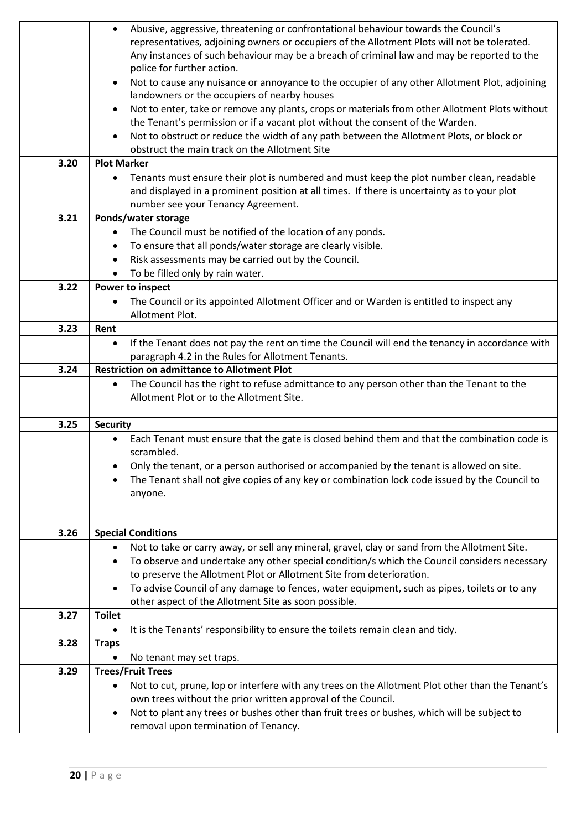|      | Abusive, aggressive, threatening or confrontational behaviour towards the Council's<br>$\bullet$              |  |  |
|------|---------------------------------------------------------------------------------------------------------------|--|--|
|      | representatives, adjoining owners or occupiers of the Allotment Plots will not be tolerated.                  |  |  |
|      | Any instances of such behaviour may be a breach of criminal law and may be reported to the                    |  |  |
|      | police for further action.                                                                                    |  |  |
|      | Not to cause any nuisance or annoyance to the occupier of any other Allotment Plot, adjoining<br>$\bullet$    |  |  |
|      | landowners or the occupiers of nearby houses                                                                  |  |  |
|      | Not to enter, take or remove any plants, crops or materials from other Allotment Plots without<br>$\bullet$   |  |  |
|      | the Tenant's permission or if a vacant plot without the consent of the Warden.                                |  |  |
|      | Not to obstruct or reduce the width of any path between the Allotment Plots, or block or<br>$\bullet$         |  |  |
|      | obstruct the main track on the Allotment Site                                                                 |  |  |
| 3.20 | <b>Plot Marker</b>                                                                                            |  |  |
|      | Tenants must ensure their plot is numbered and must keep the plot number clean, readable<br>$\bullet$         |  |  |
|      | and displayed in a prominent position at all times. If there is uncertainty as to your plot                   |  |  |
|      | number see your Tenancy Agreement.                                                                            |  |  |
| 3.21 | Ponds/water storage                                                                                           |  |  |
|      | The Council must be notified of the location of any ponds.<br>$\bullet$                                       |  |  |
|      | To ensure that all ponds/water storage are clearly visible.<br>$\bullet$                                      |  |  |
|      | Risk assessments may be carried out by the Council.<br>$\bullet$                                              |  |  |
|      | To be filled only by rain water.                                                                              |  |  |
| 3.22 | Power to inspect                                                                                              |  |  |
|      | The Council or its appointed Allotment Officer and or Warden is entitled to inspect any<br>$\bullet$          |  |  |
|      | Allotment Plot.                                                                                               |  |  |
| 3.23 | Rent                                                                                                          |  |  |
|      | If the Tenant does not pay the rent on time the Council will end the tenancy in accordance with<br>$\bullet$  |  |  |
|      | paragraph 4.2 in the Rules for Allotment Tenants.                                                             |  |  |
| 3.24 | <b>Restriction on admittance to Allotment Plot</b>                                                            |  |  |
|      | The Council has the right to refuse admittance to any person other than the Tenant to the<br>$\bullet$        |  |  |
|      | Allotment Plot or to the Allotment Site.                                                                      |  |  |
|      |                                                                                                               |  |  |
| 3.25 | <b>Security</b>                                                                                               |  |  |
|      | Each Tenant must ensure that the gate is closed behind them and that the combination code is                  |  |  |
|      | scrambled.                                                                                                    |  |  |
|      | Only the tenant, or a person authorised or accompanied by the tenant is allowed on site.                      |  |  |
|      | The Tenant shall not give copies of any key or combination lock code issued by the Council to                 |  |  |
|      | anyone.                                                                                                       |  |  |
|      |                                                                                                               |  |  |
|      |                                                                                                               |  |  |
| 3.26 | <b>Special Conditions</b>                                                                                     |  |  |
|      | Not to take or carry away, or sell any mineral, gravel, clay or sand from the Allotment Site.<br>٠            |  |  |
|      | To observe and undertake any other special condition/s which the Council considers necessary<br>٠             |  |  |
|      | to preserve the Allotment Plot or Allotment Site from deterioration.                                          |  |  |
|      | To advise Council of any damage to fences, water equipment, such as pipes, toilets or to any<br>٠             |  |  |
|      | other aspect of the Allotment Site as soon possible.                                                          |  |  |
| 3.27 | <b>Toilet</b>                                                                                                 |  |  |
|      | It is the Tenants' responsibility to ensure the toilets remain clean and tidy.<br>٠                           |  |  |
| 3.28 | <b>Traps</b>                                                                                                  |  |  |
|      | No tenant may set traps.                                                                                      |  |  |
| 3.29 | <b>Trees/Fruit Trees</b>                                                                                      |  |  |
|      | Not to cut, prune, lop or interfere with any trees on the Allotment Plot other than the Tenant's<br>$\bullet$ |  |  |
|      | own trees without the prior written approval of the Council.                                                  |  |  |
|      | Not to plant any trees or bushes other than fruit trees or bushes, which will be subject to<br>٠              |  |  |
|      | removal upon termination of Tenancy.                                                                          |  |  |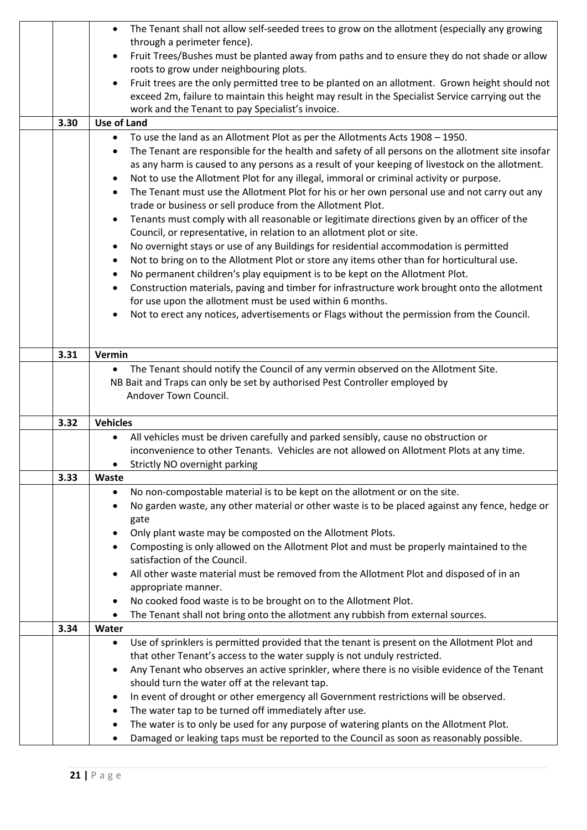|                                                                                               | The Tenant shall not allow self-seeded trees to grow on the allotment (especially any growing<br>$\bullet$     |  |  |  |
|-----------------------------------------------------------------------------------------------|----------------------------------------------------------------------------------------------------------------|--|--|--|
|                                                                                               | through a perimeter fence).                                                                                    |  |  |  |
|                                                                                               | Fruit Trees/Bushes must be planted away from paths and to ensure they do not shade or allow<br>$\bullet$       |  |  |  |
|                                                                                               | roots to grow under neighbouring plots.                                                                        |  |  |  |
|                                                                                               | Fruit trees are the only permitted tree to be planted on an allotment. Grown height should not<br>$\bullet$    |  |  |  |
|                                                                                               | exceed 2m, failure to maintain this height may result in the Specialist Service carrying out the               |  |  |  |
|                                                                                               | work and the Tenant to pay Specialist's invoice.                                                               |  |  |  |
| 3.30                                                                                          | <b>Use of Land</b>                                                                                             |  |  |  |
|                                                                                               | To use the land as an Allotment Plot as per the Allotments Acts 1908 - 1950.<br>٠                              |  |  |  |
|                                                                                               | The Tenant are responsible for the health and safety of all persons on the allotment site insofar<br>$\bullet$ |  |  |  |
|                                                                                               | as any harm is caused to any persons as a result of your keeping of livestock on the allotment.                |  |  |  |
|                                                                                               | Not to use the Allotment Plot for any illegal, immoral or criminal activity or purpose.<br>٠                   |  |  |  |
|                                                                                               | The Tenant must use the Allotment Plot for his or her own personal use and not carry out any<br>$\bullet$      |  |  |  |
|                                                                                               | trade or business or sell produce from the Allotment Plot.                                                     |  |  |  |
|                                                                                               | Tenants must comply with all reasonable or legitimate directions given by an officer of the<br>$\bullet$       |  |  |  |
|                                                                                               | Council, or representative, in relation to an allotment plot or site.                                          |  |  |  |
|                                                                                               | No overnight stays or use of any Buildings for residential accommodation is permitted<br>$\bullet$             |  |  |  |
|                                                                                               | Not to bring on to the Allotment Plot or store any items other than for horticultural use.<br>$\bullet$        |  |  |  |
|                                                                                               | No permanent children's play equipment is to be kept on the Allotment Plot.<br>$\bullet$                       |  |  |  |
|                                                                                               | Construction materials, paving and timber for infrastructure work brought onto the allotment<br>$\bullet$      |  |  |  |
|                                                                                               | for use upon the allotment must be used within 6 months.                                                       |  |  |  |
|                                                                                               | Not to erect any notices, advertisements or Flags without the permission from the Council.                     |  |  |  |
|                                                                                               |                                                                                                                |  |  |  |
|                                                                                               |                                                                                                                |  |  |  |
| 3.31                                                                                          | Vermin                                                                                                         |  |  |  |
|                                                                                               | The Tenant should notify the Council of any vermin observed on the Allotment Site.<br>$\bullet$                |  |  |  |
| NB Bait and Traps can only be set by authorised Pest Controller employed by                   |                                                                                                                |  |  |  |
|                                                                                               | Andover Town Council.                                                                                          |  |  |  |
|                                                                                               |                                                                                                                |  |  |  |
| <b>Vehicles</b><br>3.32                                                                       |                                                                                                                |  |  |  |
|                                                                                               | All vehicles must be driven carefully and parked sensibly, cause no obstruction or<br>$\bullet$                |  |  |  |
|                                                                                               | inconvenience to other Tenants. Vehicles are not allowed on Allotment Plots at any time.                       |  |  |  |
|                                                                                               | Strictly NO overnight parking                                                                                  |  |  |  |
| 3.33                                                                                          | Waste                                                                                                          |  |  |  |
|                                                                                               | No non-compostable material is to be kept on the allotment or on the site.<br>٠                                |  |  |  |
|                                                                                               | No garden waste, any other material or other waste is to be placed against any fence, hedge or<br>$\bullet$    |  |  |  |
|                                                                                               | gate                                                                                                           |  |  |  |
|                                                                                               | Only plant waste may be composted on the Allotment Plots.<br>٠                                                 |  |  |  |
|                                                                                               | Composting is only allowed on the Allotment Plot and must be properly maintained to the<br>٠                   |  |  |  |
|                                                                                               | satisfaction of the Council.                                                                                   |  |  |  |
|                                                                                               | All other waste material must be removed from the Allotment Plot and disposed of in an<br>$\bullet$            |  |  |  |
|                                                                                               | appropriate manner.                                                                                            |  |  |  |
|                                                                                               | No cooked food waste is to be brought on to the Allotment Plot.<br>٠                                           |  |  |  |
| The Tenant shall not bring onto the allotment any rubbish from external sources.<br>$\bullet$ |                                                                                                                |  |  |  |
| 3.34                                                                                          | Water                                                                                                          |  |  |  |
|                                                                                               | Use of sprinklers is permitted provided that the tenant is present on the Allotment Plot and<br>$\bullet$      |  |  |  |
|                                                                                               | that other Tenant's access to the water supply is not unduly restricted.                                       |  |  |  |
|                                                                                               | Any Tenant who observes an active sprinkler, where there is no visible evidence of the Tenant<br>$\bullet$     |  |  |  |
|                                                                                               | should turn the water off at the relevant tap.                                                                 |  |  |  |
|                                                                                               | In event of drought or other emergency all Government restrictions will be observed.<br>٠                      |  |  |  |
|                                                                                               | The water tap to be turned off immediately after use.<br>٠                                                     |  |  |  |
|                                                                                               | The water is to only be used for any purpose of watering plants on the Allotment Plot.<br>٠                    |  |  |  |
|                                                                                               | Damaged or leaking taps must be reported to the Council as soon as reasonably possible.                        |  |  |  |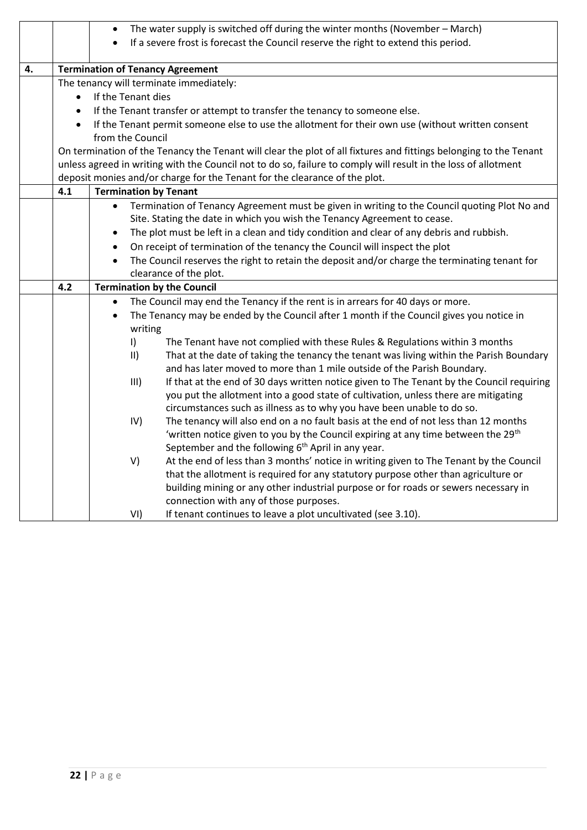|    |                                                                                                           | The water supply is switched off during the winter months (November - March)<br>$\bullet$                         |  |  |  |
|----|-----------------------------------------------------------------------------------------------------------|-------------------------------------------------------------------------------------------------------------------|--|--|--|
|    |                                                                                                           | If a severe frost is forecast the Council reserve the right to extend this period.                                |  |  |  |
|    |                                                                                                           |                                                                                                                   |  |  |  |
| 4. |                                                                                                           | <b>Termination of Tenancy Agreement</b>                                                                           |  |  |  |
|    |                                                                                                           | The tenancy will terminate immediately:                                                                           |  |  |  |
|    | $\bullet$                                                                                                 | If the Tenant dies                                                                                                |  |  |  |
|    | $\bullet$                                                                                                 | If the Tenant transfer or attempt to transfer the tenancy to someone else.                                        |  |  |  |
|    | $\bullet$                                                                                                 | If the Tenant permit someone else to use the allotment for their own use (without written consent                 |  |  |  |
|    |                                                                                                           | from the Council                                                                                                  |  |  |  |
|    |                                                                                                           | On termination of the Tenancy the Tenant will clear the plot of all fixtures and fittings belonging to the Tenant |  |  |  |
|    |                                                                                                           | unless agreed in writing with the Council not to do so, failure to comply will result in the loss of allotment    |  |  |  |
|    |                                                                                                           | deposit monies and/or charge for the Tenant for the clearance of the plot.                                        |  |  |  |
|    | 4.1                                                                                                       | <b>Termination by Tenant</b>                                                                                      |  |  |  |
|    | Termination of Tenancy Agreement must be given in writing to the Council quoting Plot No and<br>$\bullet$ |                                                                                                                   |  |  |  |
|    | Site. Stating the date in which you wish the Tenancy Agreement to cease.                                  |                                                                                                                   |  |  |  |
|    |                                                                                                           | The plot must be left in a clean and tidy condition and clear of any debris and rubbish.<br>$\bullet$             |  |  |  |
|    |                                                                                                           | On receipt of termination of the tenancy the Council will inspect the plot<br>$\bullet$                           |  |  |  |
|    |                                                                                                           | The Council reserves the right to retain the deposit and/or charge the terminating tenant for<br>$\bullet$        |  |  |  |
|    |                                                                                                           | clearance of the plot.                                                                                            |  |  |  |
|    | 4.2                                                                                                       | <b>Termination by the Council</b>                                                                                 |  |  |  |
|    | The Council may end the Tenancy if the rent is in arrears for 40 days or more.<br>٠                       |                                                                                                                   |  |  |  |
|    | The Tenancy may be ended by the Council after 1 month if the Council gives you notice in<br>$\bullet$     |                                                                                                                   |  |  |  |
|    |                                                                                                           | writing                                                                                                           |  |  |  |
|    |                                                                                                           | $\vert$<br>The Tenant have not complied with these Rules & Regulations within 3 months                            |  |  |  |
|    |                                                                                                           | That at the date of taking the tenancy the tenant was living within the Parish Boundary<br>$\vert \vert \vert$    |  |  |  |
|    |                                                                                                           | and has later moved to more than 1 mile outside of the Parish Boundary.                                           |  |  |  |
|    |                                                                                                           | If that at the end of 30 days written notice given to The Tenant by the Council requiring<br>III)                 |  |  |  |
|    | you put the allotment into a good state of cultivation, unless there are mitigating                       |                                                                                                                   |  |  |  |
|    |                                                                                                           | circumstances such as illness as to why you have been unable to do so.                                            |  |  |  |
|    |                                                                                                           | The tenancy will also end on a no fault basis at the end of not less than 12 months<br>IV)                        |  |  |  |
|    |                                                                                                           | 'written notice given to you by the Council expiring at any time between the 29 <sup>th</sup>                     |  |  |  |
|    |                                                                                                           | September and the following 6 <sup>th</sup> April in any year.                                                    |  |  |  |
|    |                                                                                                           | V)<br>At the end of less than 3 months' notice in writing given to The Tenant by the Council                      |  |  |  |
|    |                                                                                                           | that the allotment is required for any statutory purpose other than agriculture or                                |  |  |  |
|    |                                                                                                           | building mining or any other industrial purpose or for roads or sewers necessary in                               |  |  |  |
|    |                                                                                                           | connection with any of those purposes.                                                                            |  |  |  |
|    |                                                                                                           | VI)<br>If tenant continues to leave a plot uncultivated (see 3.10).                                               |  |  |  |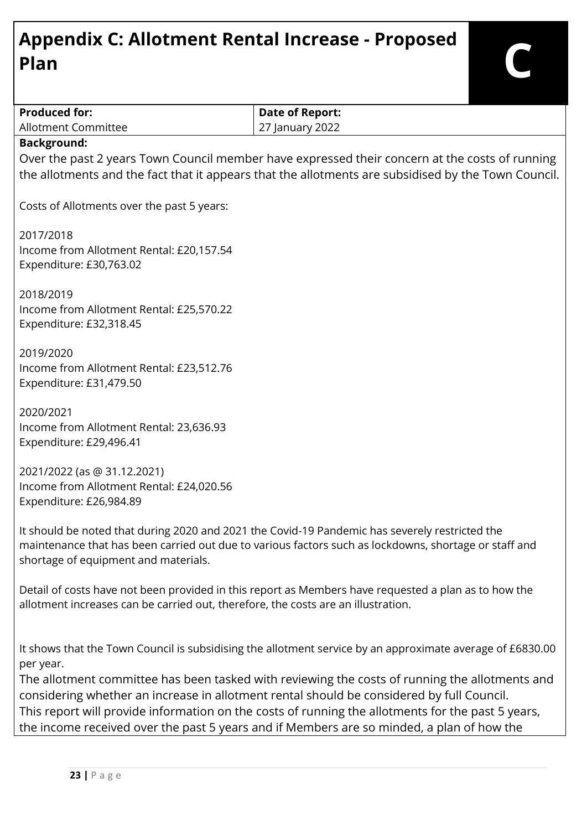# **Appendix C: Allotment Rental Increase - Proposed Plan C**

| <b>Produced for:</b>                                                                              | <b>Date of Report:</b>                                                                                    |  |  |  |
|---------------------------------------------------------------------------------------------------|-----------------------------------------------------------------------------------------------------------|--|--|--|
| <b>Allotment Committee</b><br>27 January 2022                                                     |                                                                                                           |  |  |  |
| <b>Background:</b>                                                                                |                                                                                                           |  |  |  |
|                                                                                                   | Over the past 2 years Town Council member have expressed their concern at the costs of running            |  |  |  |
|                                                                                                   | the allotments and the fact that it appears that the allotments are subsidised by the Town Council.       |  |  |  |
| Costs of Allotments over the past 5 years:                                                        |                                                                                                           |  |  |  |
| 2017/2018                                                                                         |                                                                                                           |  |  |  |
| Income from Allotment Rental: £20,157.54                                                          |                                                                                                           |  |  |  |
| Expenditure: £30,763.02                                                                           |                                                                                                           |  |  |  |
|                                                                                                   |                                                                                                           |  |  |  |
| 2018/2019                                                                                         |                                                                                                           |  |  |  |
| Income from Allotment Rental: £25,570.22                                                          |                                                                                                           |  |  |  |
| Expenditure: £32,318.45                                                                           |                                                                                                           |  |  |  |
|                                                                                                   |                                                                                                           |  |  |  |
| 2019/2020                                                                                         |                                                                                                           |  |  |  |
| Income from Allotment Rental: £23,512.76                                                          |                                                                                                           |  |  |  |
| Expenditure: £31,479.50                                                                           |                                                                                                           |  |  |  |
| 2020/2021                                                                                         |                                                                                                           |  |  |  |
| Income from Allotment Rental: 23,636.93                                                           |                                                                                                           |  |  |  |
| Expenditure: £29,496.41                                                                           |                                                                                                           |  |  |  |
|                                                                                                   |                                                                                                           |  |  |  |
| 2021/2022 (as @ 31.12.2021)                                                                       |                                                                                                           |  |  |  |
| Income from Allotment Rental: £24,020.56                                                          |                                                                                                           |  |  |  |
| Expenditure: £26,984.89                                                                           |                                                                                                           |  |  |  |
|                                                                                                   |                                                                                                           |  |  |  |
|                                                                                                   | It should be noted that during 2020 and 2021 the Covid-19 Pandemic has severely restricted the            |  |  |  |
|                                                                                                   | maintenance that has been carried out due to various factors such as lockdowns, shortage or staff and     |  |  |  |
| shortage of equipment and materials.                                                              |                                                                                                           |  |  |  |
|                                                                                                   | Detail of costs have not been provided in this report as Members have requested a plan as to how the      |  |  |  |
| allotment increases can be carried out, therefore, the costs are an illustration.                 |                                                                                                           |  |  |  |
|                                                                                                   |                                                                                                           |  |  |  |
|                                                                                                   |                                                                                                           |  |  |  |
|                                                                                                   | It shows that the Town Council is subsidising the allotment service by an approximate average of £6830.00 |  |  |  |
| per year.                                                                                         |                                                                                                           |  |  |  |
| The allotment committee has been tasked with reviewing the costs of running the allotments and    |                                                                                                           |  |  |  |
| considering whether an increase in allotment rental should be considered by full Council.         |                                                                                                           |  |  |  |
| This report will provide information on the costs of running the allotments for the past 5 years, |                                                                                                           |  |  |  |
| the income received over the past 5 years and if Members are so minded, a plan of how the         |                                                                                                           |  |  |  |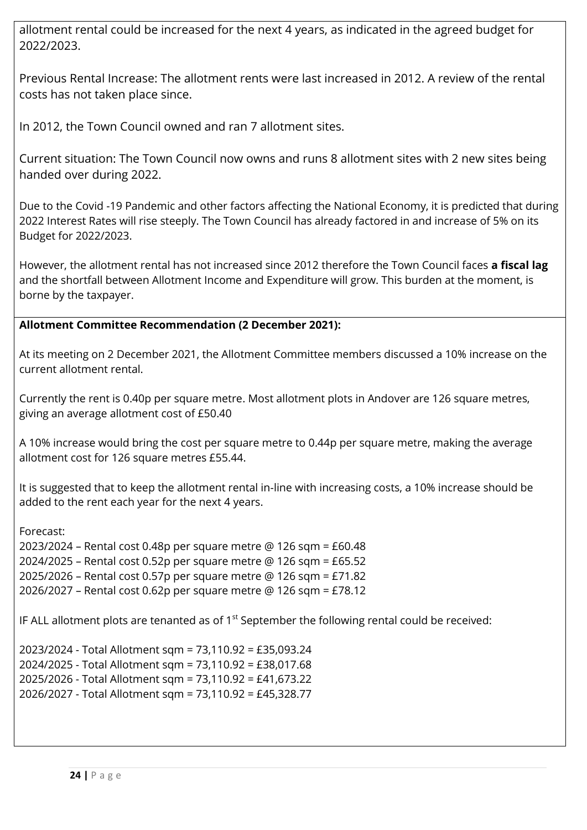allotment rental could be increased for the next 4 years, as indicated in the agreed budget for 2022/2023.

Previous Rental Increase: The allotment rents were last increased in 2012. A review of the rental costs has not taken place since.

In 2012, the Town Council owned and ran 7 allotment sites.

Current situation: The Town Council now owns and runs 8 allotment sites with 2 new sites being handed over during 2022.

Due to the Covid -19 Pandemic and other factors affecting the National Economy, it is predicted that during 2022 Interest Rates will rise steeply. The Town Council has already factored in and increase of 5% on its Budget for 2022/2023.

However, the allotment rental has not increased since 2012 therefore the Town Council faces **a fiscal lag** and the shortfall between Allotment Income and Expenditure will grow. This burden at the moment, is borne by the taxpayer.

#### **Allotment Committee Recommendation (2 December 2021):**

At its meeting on 2 December 2021, the Allotment Committee members discussed a 10% increase on the current allotment rental.

Currently the rent is 0.40p per square metre. Most allotment plots in Andover are 126 square metres, giving an average allotment cost of £50.40

A 10% increase would bring the cost per square metre to 0.44p per square metre, making the average allotment cost for 126 square metres £55.44.

It is suggested that to keep the allotment rental in-line with increasing costs, a 10% increase should be added to the rent each year for the next 4 years.

#### Forecast:

2023/2024 – Rental cost 0.48p per square metre @ 126 sqm = £60.48 2024/2025 – Rental cost 0.52p per square metre @ 126 sqm = £65.52 2025/2026 – Rental cost 0.57p per square metre @ 126 sqm = £71.82 2026/2027 – Rental cost 0.62p per square metre @ 126 sqm = £78.12

IF ALL allotment plots are tenanted as of  $1<sup>st</sup>$  September the following rental could be received:

2023/2024 - Total Allotment sqm = 73,110.92 = £35,093.24 2024/2025 - Total Allotment sqm = 73,110.92 = £38,017.68 2025/2026 - Total Allotment sqm = 73,110.92 = £41,673.22 2026/2027 - Total Allotment sqm = 73,110.92 = £45,328.77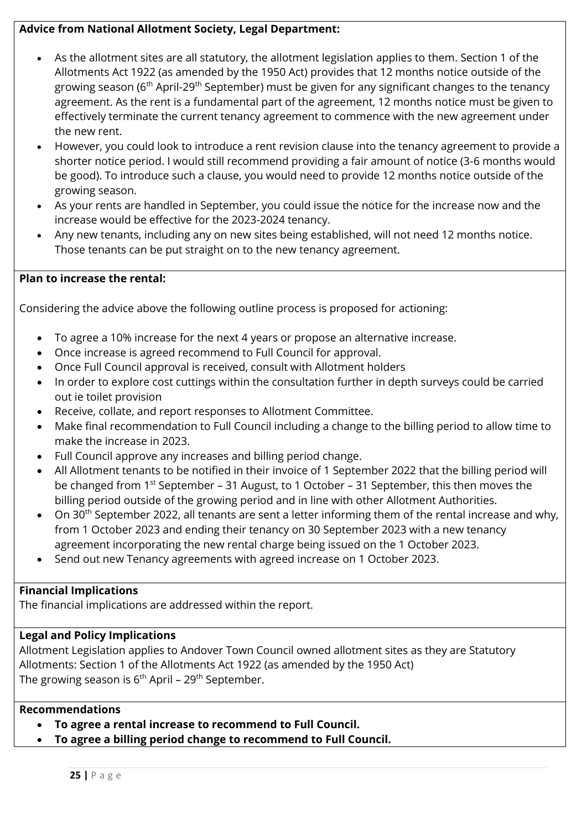#### **Advice from National Allotment Society, Legal Department:**

- As the allotment sites are all statutory, the allotment legislation applies to them. Section 1 of the Allotments Act 1922 (as amended by the 1950 Act) provides that 12 months notice outside of the growing season (6<sup>th</sup> April-29<sup>th</sup> September) must be given for any significant changes to the tenancy agreement. As the rent is a fundamental part of the agreement, 12 months notice must be given to effectively terminate the current tenancy agreement to commence with the new agreement under the new rent.
- However, you could look to introduce a rent revision clause into the tenancy agreement to provide a shorter notice period. I would still recommend providing a fair amount of notice (3-6 months would be good). To introduce such a clause, you would need to provide 12 months notice outside of the growing season.
- As your rents are handled in September, you could issue the notice for the increase now and the increase would be effective for the 2023-2024 tenancy.
- Any new tenants, including any on new sites being established, will not need 12 months notice. Those tenants can be put straight on to the new tenancy agreement.

#### **Plan to increase the rental:**

Considering the advice above the following outline process is proposed for actioning:

- To agree a 10% increase for the next 4 years or propose an alternative increase.
- Once increase is agreed recommend to Full Council for approval.
- Once Full Council approval is received, consult with Allotment holders
- In order to explore cost cuttings within the consultation further in depth surveys could be carried out ie toilet provision
- Receive, collate, and report responses to Allotment Committee.
- Make final recommendation to Full Council including a change to the billing period to allow time to make the increase in 2023.
- Full Council approve any increases and billing period change.
- All Allotment tenants to be notified in their invoice of 1 September 2022 that the billing period will be changed from 1<sup>st</sup> September – 31 August, to 1 October – 31 September, this then moves the billing period outside of the growing period and in line with other Allotment Authorities.
- On 30<sup>th</sup> September 2022, all tenants are sent a letter informing them of the rental increase and why, from 1 October 2023 and ending their tenancy on 30 September 2023 with a new tenancy agreement incorporating the new rental charge being issued on the 1 October 2023.
- Send out new Tenancy agreements with agreed increase on 1 October 2023.

#### **Financial Implications**

The financial implications are addressed within the report.

#### **Legal and Policy Implications**

Allotment Legislation applies to Andover Town Council owned allotment sites as they are Statutory Allotments: Section 1 of the Allotments Act 1922 (as amended by the 1950 Act) The growing season is  $6<sup>th</sup>$  April – 29<sup>th</sup> September.

#### **Recommendations**

- **To agree a rental increase to recommend to Full Council.**
- **To agree a billing period change to recommend to Full Council.**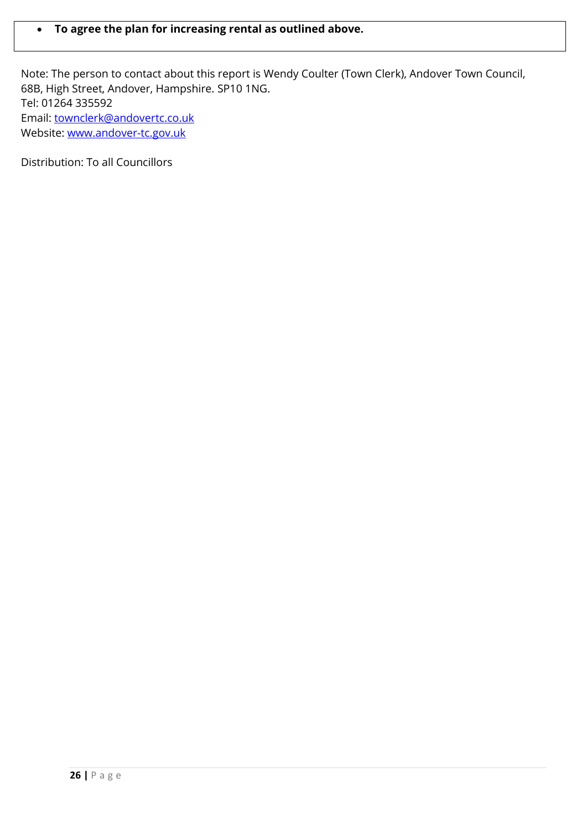#### **To agree the plan for increasing rental as outlined above.**

Note: The person to contact about this report is Wendy Coulter (Town Clerk), Andover Town Council, 68B, High Street, Andover, Hampshire. SP10 1NG. Tel: 01264 335592 Email: [townclerk@andovertc.co.uk](mailto:townclerk@andovertc.co.uk)  Website: [www.andover-tc.gov.uk](http://www.andover-tc.gov.uk/) 

Distribution: To all Councillors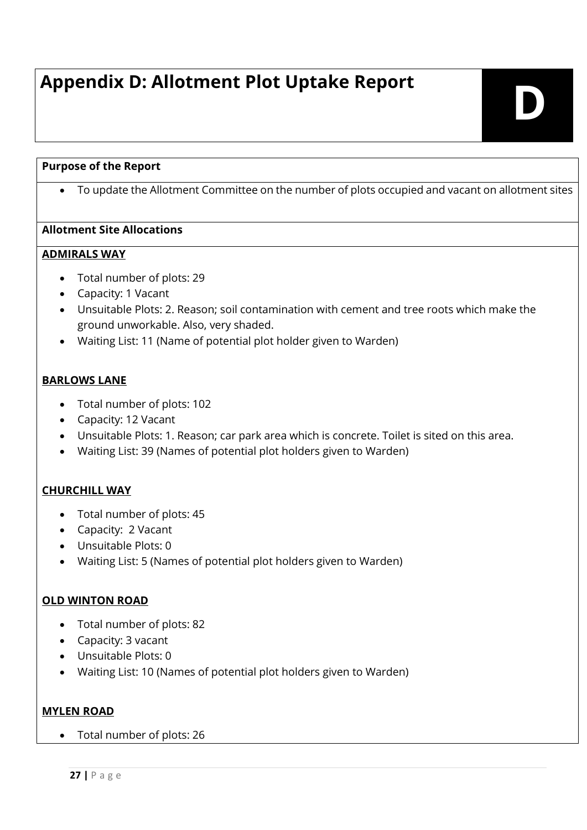# **Appendix D: Allotment Plot Uptake Report**

# **D**

#### **Purpose of the Report**

To update the Allotment Committee on the number of plots occupied and vacant on allotment sites

#### **Allotment Site Allocations**

#### **ADMIRALS WAY**

- Total number of plots: 29
- Capacity: 1 Vacant
- Unsuitable Plots: 2. Reason; soil contamination with cement and tree roots which make the ground unworkable. Also, very shaded.
- Waiting List: 11 (Name of potential plot holder given to Warden)

#### **BARLOWS LANE**

- Total number of plots: 102
- Capacity: 12 Vacant
- Unsuitable Plots: 1. Reason; car park area which is concrete. Toilet is sited on this area.
- Waiting List: 39 (Names of potential plot holders given to Warden)

#### **CHURCHILL WAY**

- Total number of plots: 45
- Capacity: 2 Vacant
- Unsuitable Plots: 0
- Waiting List: 5 (Names of potential plot holders given to Warden)

#### **OLD WINTON ROAD**

- Total number of plots: 82
- Capacity: 3 vacant
- Unsuitable Plots: 0
- Waiting List: 10 (Names of potential plot holders given to Warden)

#### **MYLEN ROAD**

Total number of plots: 26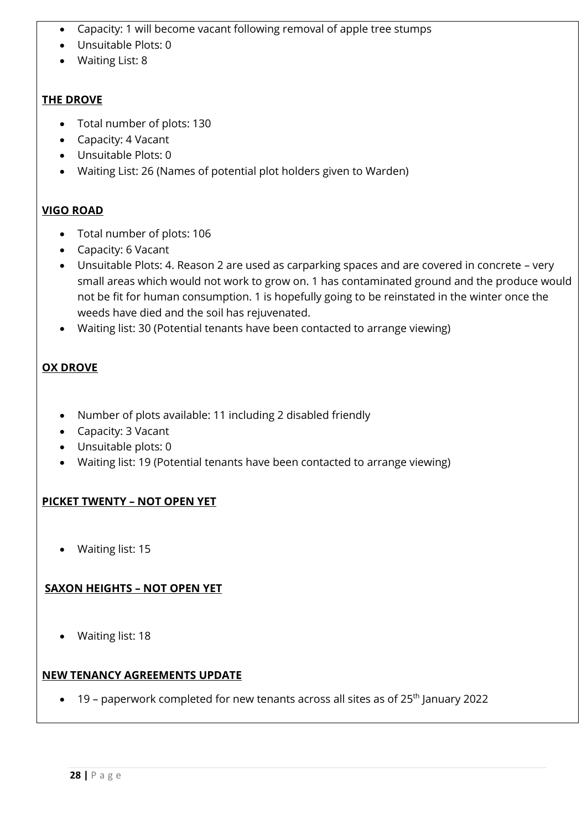- Capacity: 1 will become vacant following removal of apple tree stumps
- Unsuitable Plots: 0
- Waiting List: 8

#### **THE DROVE**

- Total number of plots: 130
- Capacity: 4 Vacant
- Unsuitable Plots: 0
- Waiting List: 26 (Names of potential plot holders given to Warden)

#### **VIGO ROAD**

- Total number of plots: 106
- Capacity: 6 Vacant
- Unsuitable Plots: 4. Reason 2 are used as carparking spaces and are covered in concrete very small areas which would not work to grow on. 1 has contaminated ground and the produce would not be fit for human consumption. 1 is hopefully going to be reinstated in the winter once the weeds have died and the soil has rejuvenated.
- Waiting list: 30 (Potential tenants have been contacted to arrange viewing)

#### **OX DROVE**

- Number of plots available: 11 including 2 disabled friendly
- Capacity: 3 Vacant
- Unsuitable plots: 0
- Waiting list: 19 (Potential tenants have been contacted to arrange viewing)

#### **PICKET TWENTY – NOT OPEN YET**

Waiting list: 15

#### **SAXON HEIGHTS – NOT OPEN YET**

Waiting list: 18

#### **NEW TENANCY AGREEMENTS UPDATE**

 $\bullet$  19 – paperwork completed for new tenants across all sites as of 25<sup>th</sup> January 2022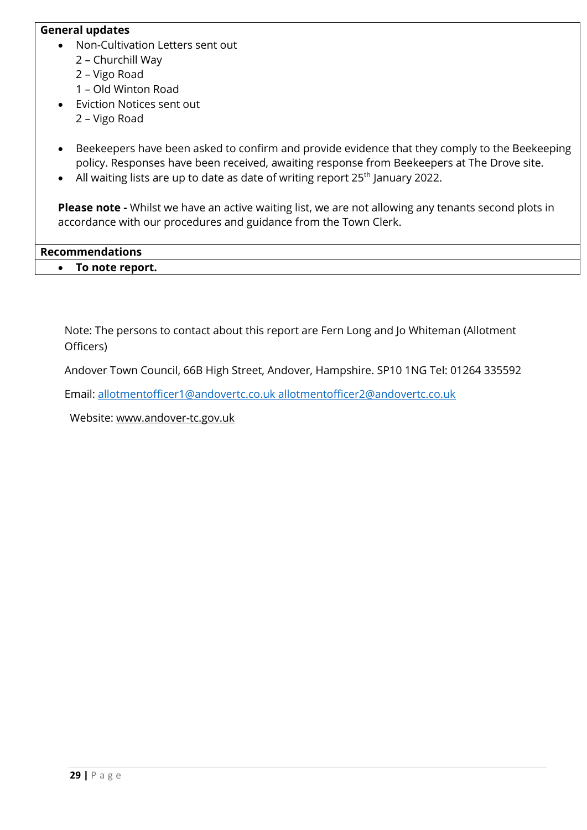#### **General updates**

- Non-Cultivation Letters sent out 2 – Churchill Way
	- 2 Vigo Road
	- 1 Old Winton Road
- Eviction Notices sent out
	- 2 Vigo Road
- Beekeepers have been asked to confirm and provide evidence that they comply to the Beekeeping policy. Responses have been received, awaiting response from Beekeepers at The Drove site.
- All waiting lists are up to date as date of writing report  $25<sup>th</sup>$  January 2022.

**Please note -** Whilst we have an active waiting list, we are not allowing any tenants second plots in accordance with our procedures and guidance from the Town Clerk.

**Recommendations To note report.**

Note: The persons to contact about this report are Fern Long and Jo Whiteman (Allotment Officers)

Andover Town Council, 66B High Street, Andover, Hampshire. SP10 1NG Tel: 01264 335592

Email: allotmentofficer1@andovertc.co.uk allotmentofficer2@andovertc.co.uk

Website: www.andover-tc.gov.uk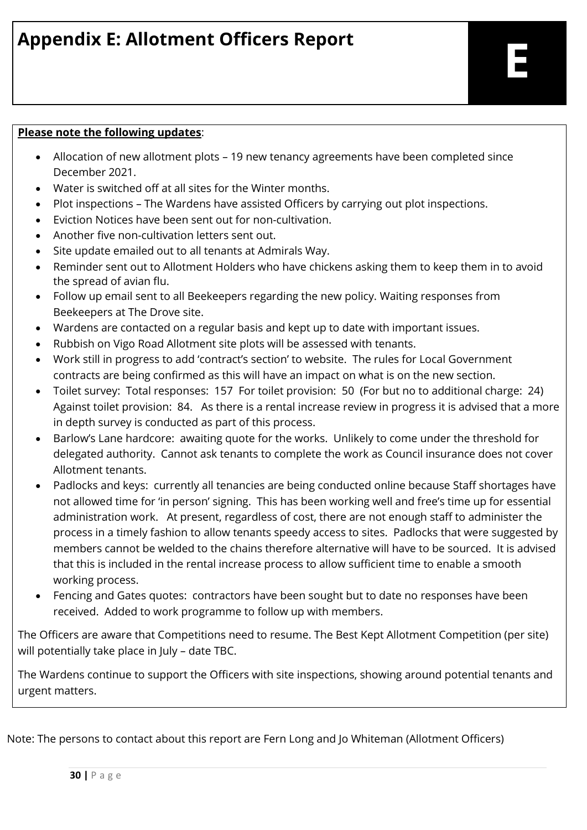# **Appendix E: Allotment Officers Report**

#### **Please note the following updates**:

- Allocation of new allotment plots 19 new tenancy agreements have been completed since December 2021.
- Water is switched off at all sites for the Winter months.
- Plot inspections The Wardens have assisted Officers by carrying out plot inspections.
- Eviction Notices have been sent out for non-cultivation.
- Another five non-cultivation letters sent out.
- Site update emailed out to all tenants at Admirals Way.
- Reminder sent out to Allotment Holders who have chickens asking them to keep them in to avoid the spread of avian flu.
- Follow up email sent to all Beekeepers regarding the new policy. Waiting responses from Beekeepers at The Drove site.
- Wardens are contacted on a regular basis and kept up to date with important issues.
- Rubbish on Vigo Road Allotment site plots will be assessed with tenants.
- Work still in progress to add 'contract's section' to website. The rules for Local Government contracts are being confirmed as this will have an impact on what is on the new section.
- Toilet survey: Total responses: 157 For toilet provision: 50 (For but no to additional charge: 24) Against toilet provision: 84. As there is a rental increase review in progress it is advised that a more in depth survey is conducted as part of this process.
- Barlow's Lane hardcore: awaiting quote for the works. Unlikely to come under the threshold for delegated authority. Cannot ask tenants to complete the work as Council insurance does not cover Allotment tenants.
- Padlocks and keys: currently all tenancies are being conducted online because Staff shortages have not allowed time for 'in person' signing. This has been working well and free's time up for essential administration work. At present, regardless of cost, there are not enough staff to administer the process in a timely fashion to allow tenants speedy access to sites. Padlocks that were suggested by members cannot be welded to the chains therefore alternative will have to be sourced. It is advised that this is included in the rental increase process to allow sufficient time to enable a smooth working process.
- Fencing and Gates quotes: contractors have been sought but to date no responses have been received. Added to work programme to follow up with members.

The Officers are aware that Competitions need to resume. The Best Kept Allotment Competition (per site) will potentially take place in July – date TBC.

The Wardens continue to support the Officers with site inspections, showing around potential tenants and urgent matters.

Note: The persons to contact about this report are Fern Long and Jo Whiteman (Allotment Officers)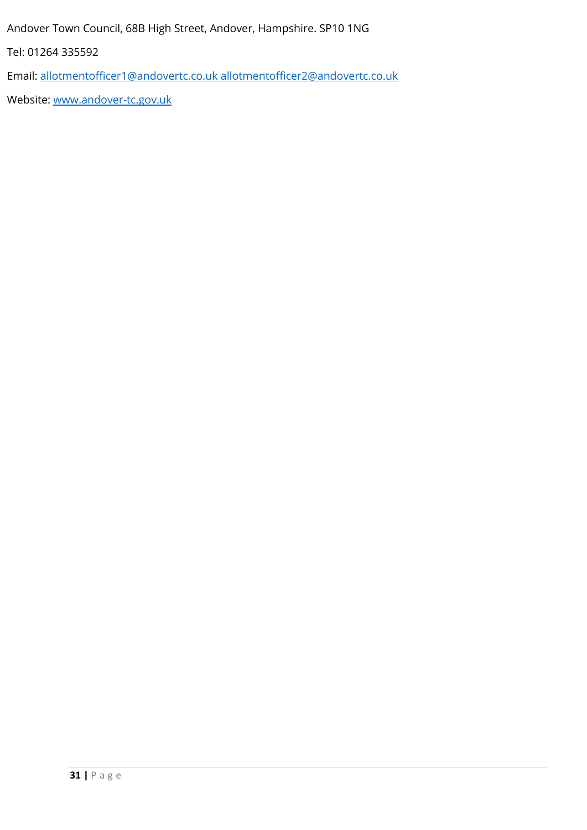Andover Town Council, 68B High Street, Andover, Hampshire. SP10 1NG

Tel: 01264 335592

Email: [allotmentofficer1@andovertc.co.uk](mailto:allotmentofficer1@andovertc.co.uk) [allotmentofficer2@andovertc.co.uk](mailto:allotmentofficer2@andovertc.co.uk)

Website: [www.andover-tc.gov.uk](http://www.andover-tc.gov.uk/)